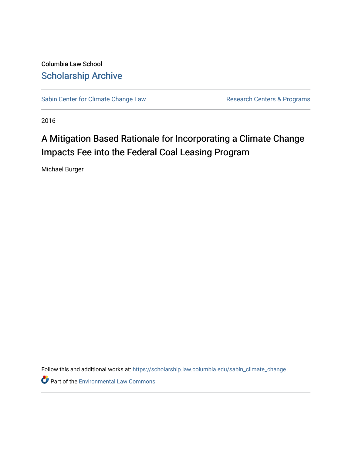Columbia Law School [Scholarship Archive](https://scholarship.law.columbia.edu/) 

[Sabin Center for Climate Change Law](https://scholarship.law.columbia.edu/sabin_climate_change) Research Centers & Programs

2016

# A Mitigation Based Rationale for Incorporating a Climate Change Impacts Fee into the Federal Coal Leasing Program

Michael Burger

Follow this and additional works at: [https://scholarship.law.columbia.edu/sabin\\_climate\\_change](https://scholarship.law.columbia.edu/sabin_climate_change?utm_source=scholarship.law.columbia.edu%2Fsabin_climate_change%2F110&utm_medium=PDF&utm_campaign=PDFCoverPages) 

**Part of the [Environmental Law Commons](http://network.bepress.com/hgg/discipline/599?utm_source=scholarship.law.columbia.edu%2Fsabin_climate_change%2F110&utm_medium=PDF&utm_campaign=PDFCoverPages)**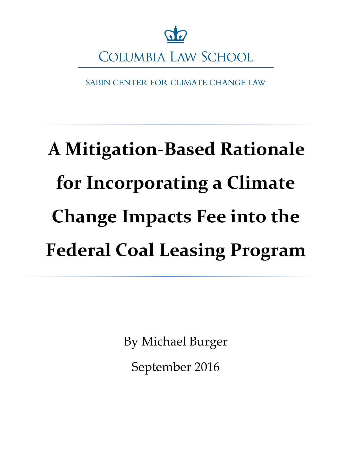

SABIN CENTER FOR CLIMATE CHANGE LAW

# **A Mitigation-Based Rationale for Incorporating a Climate Change Impacts Fee into the Federal Coal Leasing Program**

By Michael Burger

September 2016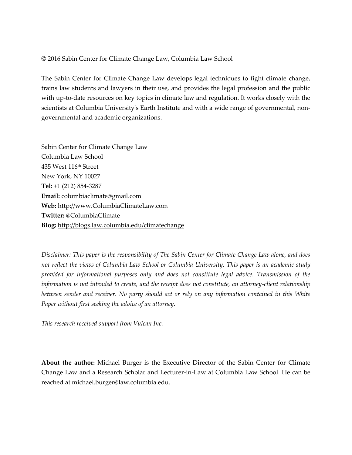#### © 2016 Sabin Center for Climate Change Law, Columbia Law School

The Sabin Center for Climate Change Law develops legal techniques to fight climate change, trains law students and lawyers in their use, and provides the legal profession and the public with up-to-date resources on key topics in climate law and regulation. It works closely with the scientists at Columbia University's Earth Institute and with a wide range of governmental, nongovernmental and academic organizations.

Sabin Center for Climate Change Law Columbia Law School 435 West 116th Street New York, NY 10027 **Tel:** +1 (212) 854-3287 **Email:** columbiaclimate@gmail.com **Web:** http://www.ColumbiaClimateLaw.com **Twitter:** @ColumbiaClimate **Blog:** <http://blogs.law.columbia.edu/climatechange>

*Disclaimer: This paper is the responsibility of The Sabin Center for Climate Change Law alone, and does not reflect the views of Columbia Law School or Columbia University. This paper is an academic study provided for informational purposes only and does not constitute legal advice. Transmission of the information is not intended to create, and the receipt does not constitute, an attorney-client relationship between sender and receiver. No party should act or rely on any information contained in this White Paper without first seeking the advice of an attorney.* 

*This research received support from Vulcan Inc.*

**About the author:** Michael Burger is the Executive Director of the Sabin Center for Climate Change Law and a Research Scholar and Lecturer-in-Law at Columbia Law School. He can be reached at michael.burger@law.columbia.edu.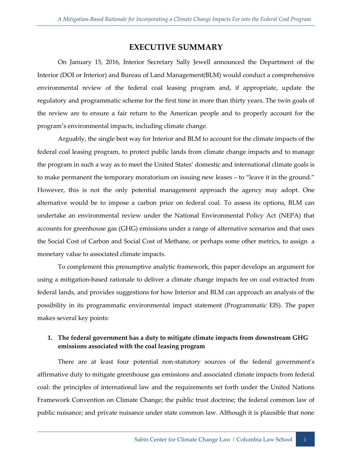## **EXECUTIVE SUMMARY**

On January 15, 2016, Interior Secretary Sally Jewell announced the Department of the Interior (DOI or Interior) and Bureau of Land Management(BLM) would conduct a comprehensive environmental review of the federal coal leasing program and, if appropriate, update the regulatory and programmatic scheme for the first time in more than thirty years. The twin goals of the review are to ensure a fair return to the American people and to properly account for the program's environmental impacts, including climate change.

Arguably, the single best way for Interior and BLM to account for the climate impacts of the federal coal leasing program, to protect public lands from climate change impacts and to manage the program in such a way as to meet the United States' domestic and international climate goals is to make permanent the temporary moratorium on issuing new leases – to "leave it in the ground." However, this is not the only potential management approach the agency may adopt. One alternative would be to impose a carbon price on federal coal. To assess its options, BLM can undertake an environmental review under the National Environmental Policy Act (NEPA) that accounts for greenhouse gas (GHG) emissions under a range of alternative scenarios and that uses the Social Cost of Carbon and Social Cost of Methane, or perhaps some other metrics, to assign a monetary value to associated climate impacts.

To complement this presumptive analytic framework, this paper develops an argument for using a mitigation-based rationale to deliver a climate change impacts fee on coal extracted from federal lands, and provides suggestions for how Interior and BLM can approach an analysis of the possibility in its programmatic environmental impact statement (Programmatic EIS). The paper makes several key points:

## **1. The federal government has a duty to mitigate climate impacts from downstream GHG emissions associated with the coal leasing program**

There are at least four potential non-statutory sources of the federal government's affirmative duty to mitigate greenhouse gas emissions and associated climate impacts from federal coal: the principles of international law and the requirements set forth under the United Nations Framework Convention on Climate Change; the public trust doctrine; the federal common law of public nuisance; and private nuisance under state common law. Although it is plausible that none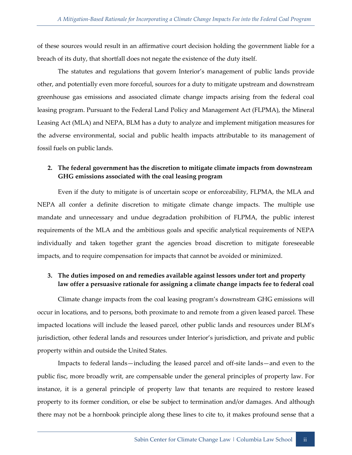of these sources would result in an affirmative court decision holding the government liable for a breach of its duty, that shortfall does not negate the existence of the duty itself.

The statutes and regulations that govern Interior's management of public lands provide other, and potentially even more forceful, sources for a duty to mitigate upstream and downstream greenhouse gas emissions and associated climate change impacts arising from the federal coal leasing program. Pursuant to the Federal Land Policy and Management Act (FLPMA), the Mineral Leasing Act (MLA) and NEPA, BLM has a duty to analyze and implement mitigation measures for the adverse environmental, social and public health impacts attributable to its management of fossil fuels on public lands.

## **2. The federal government has the discretion to mitigate climate impacts from downstream GHG emissions associated with the coal leasing program**

Even if the duty to mitigate is of uncertain scope or enforceability, FLPMA, the MLA and NEPA all confer a definite discretion to mitigate climate change impacts. The multiple use mandate and unnecessary and undue degradation prohibition of FLPMA, the public interest requirements of the MLA and the ambitious goals and specific analytical requirements of NEPA individually and taken together grant the agencies broad discretion to mitigate foreseeable impacts, and to require compensation for impacts that cannot be avoided or minimized.

## **3. The duties imposed on and remedies available against lessors under tort and property law offer a persuasive rationale for assigning a climate change impacts fee to federal coal**

Climate change impacts from the coal leasing program's downstream GHG emissions will occur in locations, and to persons, both proximate to and remote from a given leased parcel. These impacted locations will include the leased parcel, other public lands and resources under BLM's jurisdiction, other federal lands and resources under Interior's jurisdiction, and private and public property within and outside the United States.

Impacts to federal lands—including the leased parcel and off-site lands—and even to the public fisc, more broadly writ, are compensable under the general principles of property law. For instance, it is a general principle of property law that tenants are required to restore leased property to its former condition, or else be subject to termination and/or damages. And although there may not be a hornbook principle along these lines to cite to, it makes profound sense that a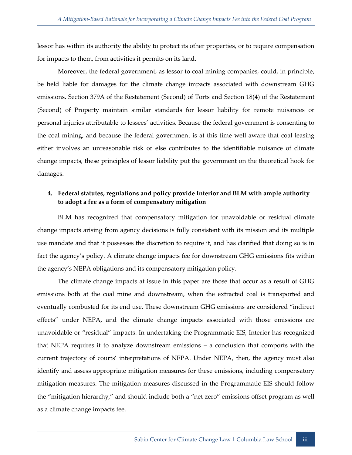lessor has within its authority the ability to protect its other properties, or to require compensation for impacts to them, from activities it permits on its land.

Moreover, the federal government, as lessor to coal mining companies, could, in principle, be held liable for damages for the climate change impacts associated with downstream GHG emissions. Section 379A of the Restatement (Second) of Torts and Section 18(4) of the Restatement (Second) of Property maintain similar standards for lessor liability for remote nuisances or personal injuries attributable to lessees' activities. Because the federal government is consenting to the coal mining, and because the federal government is at this time well aware that coal leasing either involves an unreasonable risk or else contributes to the identifiable nuisance of climate change impacts, these principles of lessor liability put the government on the theoretical hook for damages.

## **4. Federal statutes, regulations and policy provide Interior and BLM with ample authority to adopt a fee as a form of compensatory mitigation**

BLM has recognized that compensatory mitigation for unavoidable or residual climate change impacts arising from agency decisions is fully consistent with its mission and its multiple use mandate and that it possesses the discretion to require it, and has clarified that doing so is in fact the agency's policy. A climate change impacts fee for downstream GHG emissions fits within the agency's NEPA obligations and its compensatory mitigation policy.

The climate change impacts at issue in this paper are those that occur as a result of GHG emissions both at the coal mine and downstream, when the extracted coal is transported and eventually combusted for its end use. These downstream GHG emissions are considered "indirect effects" under NEPA, and the climate change impacts associated with those emissions are unavoidable or "residual" impacts. In undertaking the Programmatic EIS, Interior has recognized that NEPA requires it to analyze downstream emissions – a conclusion that comports with the current trajectory of courts' interpretations of NEPA. Under NEPA, then, the agency must also identify and assess appropriate mitigation measures for these emissions, including compensatory mitigation measures. The mitigation measures discussed in the Programmatic EIS should follow the "mitigation hierarchy," and should include both a "net zero" emissions offset program as well as a climate change impacts fee.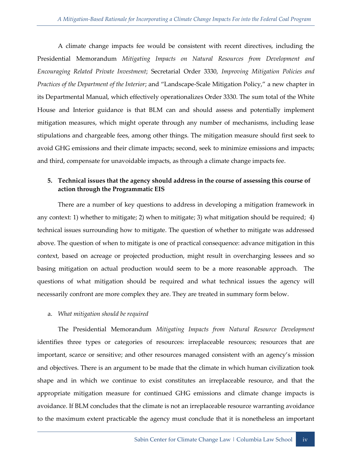A climate change impacts fee would be consistent with recent directives, including the Presidential Memorandum *Mitigating Impacts on Natural Resources from Development and Encouraging Related Private Investment*; Secretarial Order 3330, *Improving Mitigation Policies and Practices of the Department of the Interior*; and "Landscape-Scale Mitigation Policy," a new chapter in its Departmental Manual, which effectively operationalizes Order 3330. The sum total of the White House and Interior guidance is that BLM can and should assess and potentially implement mitigation measures, which might operate through any number of mechanisms, including lease stipulations and chargeable fees, among other things. The mitigation measure should first seek to avoid GHG emissions and their climate impacts; second, seek to minimize emissions and impacts; and third, compensate for unavoidable impacts, as through a climate change impacts fee.

## **5. Technical issues that the agency should address in the course of assessing this course of action through the Programmatic EIS**

There are a number of key questions to address in developing a mitigation framework in any context: 1) whether to mitigate; 2) when to mitigate; 3) what mitigation should be required; 4) technical issues surrounding how to mitigate. The question of whether to mitigate was addressed above. The question of when to mitigate is one of practical consequence: advance mitigation in this context, based on acreage or projected production, might result in overcharging lessees and so basing mitigation on actual production would seem to be a more reasonable approach. The questions of what mitigation should be required and what technical issues the agency will necessarily confront are more complex they are. They are treated in summary form below.

#### a. *What mitigation should be required*

The Presidential Memorandum *Mitigating Impacts from Natural Resource Development* identifies three types or categories of resources: irreplaceable resources; resources that are important, scarce or sensitive; and other resources managed consistent with an agency's mission and objectives. There is an argument to be made that the climate in which human civilization took shape and in which we continue to exist constitutes an irreplaceable resource, and that the appropriate mitigation measure for continued GHG emissions and climate change impacts is avoidance. If BLM concludes that the climate is not an irreplaceable resource warranting avoidance to the maximum extent practicable the agency must conclude that it is nonetheless an important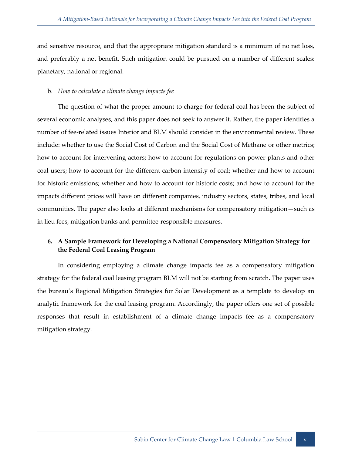and sensitive resource, and that the appropriate mitigation standard is a minimum of no net loss, and preferably a net benefit. Such mitigation could be pursued on a number of different scales: planetary, national or regional.

#### b. *How to calculate a climate change impacts fee*

The question of what the proper amount to charge for federal coal has been the subject of several economic analyses, and this paper does not seek to answer it. Rather, the paper identifies a number of fee-related issues Interior and BLM should consider in the environmental review. These include: whether to use the Social Cost of Carbon and the Social Cost of Methane or other metrics; how to account for intervening actors; how to account for regulations on power plants and other coal users; how to account for the different carbon intensity of coal; whether and how to account for historic emissions; whether and how to account for historic costs; and how to account for the impacts different prices will have on different companies, industry sectors, states, tribes, and local communities. The paper also looks at different mechanisms for compensatory mitigation—such as in lieu fees, mitigation banks and permittee-responsible measures.

## **6. A Sample Framework for Developing a National Compensatory Mitigation Strategy for the Federal Coal Leasing Program**

In considering employing a climate change impacts fee as a compensatory mitigation strategy for the federal coal leasing program BLM will not be starting from scratch. The paper uses the bureau's Regional Mitigation Strategies for Solar Development as a template to develop an analytic framework for the coal leasing program. Accordingly, the paper offers one set of possible responses that result in establishment of a climate change impacts fee as a compensatory mitigation strategy.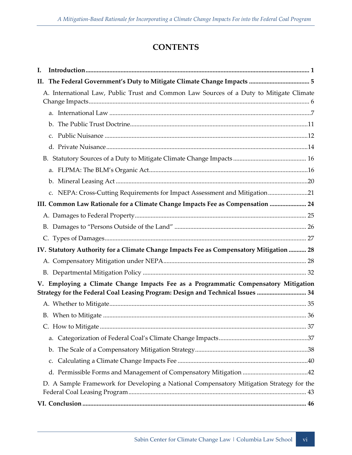# **CONTENTS**

| I.                                                                                                                                                                    |                                                                                          |  |
|-----------------------------------------------------------------------------------------------------------------------------------------------------------------------|------------------------------------------------------------------------------------------|--|
| Н.                                                                                                                                                                    |                                                                                          |  |
|                                                                                                                                                                       | A. International Law, Public Trust and Common Law Sources of a Duty to Mitigate Climate  |  |
|                                                                                                                                                                       |                                                                                          |  |
|                                                                                                                                                                       |                                                                                          |  |
|                                                                                                                                                                       |                                                                                          |  |
|                                                                                                                                                                       |                                                                                          |  |
|                                                                                                                                                                       |                                                                                          |  |
|                                                                                                                                                                       |                                                                                          |  |
|                                                                                                                                                                       |                                                                                          |  |
|                                                                                                                                                                       | c. NEPA: Cross-Cutting Requirements for Impact Assessment and Mitigation21               |  |
|                                                                                                                                                                       | III. Common Law Rationale for a Climate Change Impacts Fee as Compensation  24           |  |
|                                                                                                                                                                       |                                                                                          |  |
|                                                                                                                                                                       |                                                                                          |  |
|                                                                                                                                                                       |                                                                                          |  |
|                                                                                                                                                                       | IV. Statutory Authority for a Climate Change Impacts Fee as Compensatory Mitigation  28  |  |
|                                                                                                                                                                       |                                                                                          |  |
|                                                                                                                                                                       |                                                                                          |  |
| V. Employing a Climate Change Impacts Fee as a Programmatic Compensatory Mitigation<br>Strategy for the Federal Coal Leasing Program: Design and Technical Issues  34 |                                                                                          |  |
|                                                                                                                                                                       |                                                                                          |  |
|                                                                                                                                                                       |                                                                                          |  |
|                                                                                                                                                                       |                                                                                          |  |
|                                                                                                                                                                       | a.                                                                                       |  |
|                                                                                                                                                                       |                                                                                          |  |
|                                                                                                                                                                       | c.                                                                                       |  |
|                                                                                                                                                                       |                                                                                          |  |
|                                                                                                                                                                       | D. A Sample Framework for Developing a National Compensatory Mitigation Strategy for the |  |
|                                                                                                                                                                       |                                                                                          |  |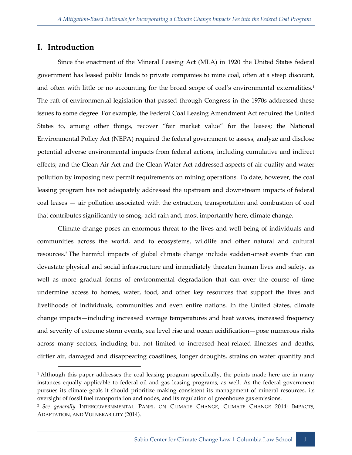## <span id="page-9-0"></span>**I. Introduction**

-

Since the enactment of the Mineral Leasing Act (MLA) in 1920 the United States federal government has leased public lands to private companies to mine coal, often at a steep discount, and often with little or no accounting for the broad scope of coal's environmental externalities.<sup>1</sup> The raft of environmental legislation that passed through Congress in the 1970s addressed these issues to some degree. For example, the Federal Coal Leasing Amendment Act required the United States to, among other things, recover "fair market value" for the leases; the National Environmental Policy Act (NEPA) required the federal government to assess, analyze and disclose potential adverse environmental impacts from federal actions, including cumulative and indirect effects; and the Clean Air Act and the Clean Water Act addressed aspects of air quality and water pollution by imposing new permit requirements on mining operations. To date, however, the coal leasing program has not adequately addressed the upstream and downstream impacts of federal coal leases — air pollution associated with the extraction, transportation and combustion of coal that contributes significantly to smog, acid rain and, most importantly here, climate change.

Climate change poses an enormous threat to the lives and well-being of individuals and communities across the world, and to ecosystems, wildlife and other natural and cultural resources.<sup>2</sup> The harmful impacts of global climate change include sudden-onset events that can devastate physical and social infrastructure and immediately threaten human lives and safety, as well as more gradual forms of environmental degradation that can over the course of time undermine access to homes, water, food, and other key resources that support the lives and livelihoods of individuals, communities and even entire nations. In the United States, climate change impacts—including increased average temperatures and heat waves, increased frequency and severity of extreme storm events, sea level rise and ocean acidification—pose numerous risks across many sectors, including but not limited to increased heat-related illnesses and deaths, dirtier air, damaged and disappearing coastlines, longer droughts, strains on water quantity and

<sup>&</sup>lt;sup>1</sup> Although this paper addresses the coal leasing program specifically, the points made here are in many instances equally applicable to federal oil and gas leasing programs, as well. As the federal government pursues its climate goals it should prioritize making consistent its management of mineral resources, its oversight of fossil fuel transportation and nodes, and its regulation of greenhouse gas emissions.

<sup>2</sup> *See generally* INTERGOVERNMENTAL PANEL ON CLIMATE CHANGE, CLIMATE CHANGE 2014: IMPACTS, ADAPTATION, AND VULNERABILITY (2014).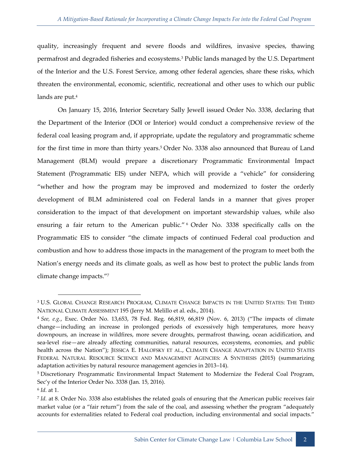quality, increasingly frequent and severe floods and wildfires, invasive species, thawing permafrost and degraded fisheries and ecosystems.<sup>3</sup> Public lands managed by the U.S. Department of the Interior and the U.S. Forest Service, among other federal agencies, share these risks, which threaten the environmental, economic, scientific, recreational and other uses to which our public lands are put.<sup>4</sup>

On January 15, 2016, Interior Secretary Sally Jewell issued Order No. 3338, declaring that the Department of the Interior (DOI or Interior) would conduct a comprehensive review of the federal coal leasing program and, if appropriate, update the regulatory and programmatic scheme for the first time in more than thirty years.<sup>5</sup> Order No. 3338 also announced that Bureau of Land Management (BLM) would prepare a discretionary Programmatic Environmental Impact Statement (Programmatic EIS) under NEPA, which will provide a "vehicle" for considering "whether and how the program may be improved and modernized to foster the orderly development of BLM administered coal on Federal lands in a manner that gives proper consideration to the impact of that development on important stewardship values, while also ensuring a fair return to the American public." <sup>6</sup> Order No. 3338 specifically calls on the Programmatic EIS to consider "the climate impacts of continued Federal coal production and combustion and how to address those impacts in the management of the program to meet both the Nation's energy needs and its climate goals, as well as how best to protect the public lands from climate change impacts."<sup>7</sup>

<sup>3</sup> U.S. GLOBAL CHANGE RESEARCH PROGRAM, CLIMATE CHANGE IMPACTS IN THE UNITED STATES: THE THIRD NATIONAL CLIMATE ASSESSMENT 195 (Jerry M. Melillo et al. eds., 2014).

<sup>4</sup> *See, e.g.*, Exec. Order No. 13,653, 78 Fed. Reg. 66,819, 66,819 (Nov. 6, 2013) ("The impacts of climate change—including an increase in prolonged periods of excessively high temperatures, more heavy downpours, an increase in wildfires, more severe droughts, permafrost thawing, ocean acidification, and sea-level rise—are already affecting communities, natural resources, ecosystems, economies, and public health across the Nation"); JESSICA E. HALOFSKY ET AL., CLIMATE CHANGE ADAPTATION IN UNITED STATES FEDERAL NATURAL RESOURCE SCIENCE AND MANAGEMENT AGENCIES: A SYNTHESIS (2015) (summarizing adaptation activities by natural resource management agencies in 2013–14).

<sup>5</sup> Discretionary Programmatic Environmental Impact Statement to Modernize the Federal Coal Program, Sec'y of the Interior Order No. 3338 (Jan. 15, 2016).

<sup>6</sup> *Id.* at 1.

<sup>7</sup> *Id.* at 8. Order No. 3338 also establishes the related goals of ensuring that the American public receives fair market value (or a "fair return") from the sale of the coal, and assessing whether the program "adequately accounts for externalities related to Federal coal production, including environmental and social impacts."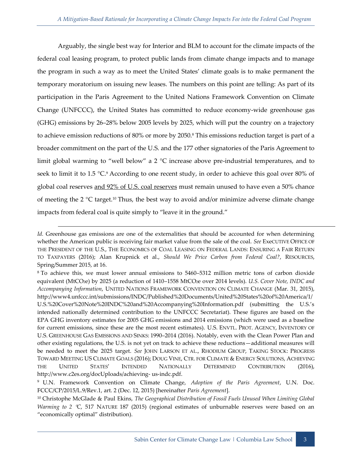Arguably, the single best way for Interior and BLM to account for the climate impacts of the federal coal leasing program, to protect public lands from climate change impacts and to manage the program in such a way as to meet the United States' climate goals is to make permanent the temporary moratorium on issuing new leases. The numbers on this point are telling: As part of its participation in the Paris Agreement to the United Nations Framework Convention on Climate Change (UNFCCC), the United States has committed to reduce economy-wide greenhouse gas (GHG) emissions by 26–28% below 2005 levels by 2025, which will put the country on a trajectory to achieve emission reductions of 80% or more by 2050.<sup>8</sup> This emissions reduction target is part of a broader commitment on the part of the U.S. and the 177 other signatories of the Paris Agreement to limit global warming to "well below" a 2 °C increase above pre-industrial temperatures, and to seek to limit it to 1.5  $\degree$ C.<sup>9</sup> According to one recent study, in order to achieve this goal over 80% of global coal reserves and 92% of U.S. coal reserves must remain unused to have even a 50% chance of meeting the 2  $\degree$ C target.<sup>10</sup> Thus, the best way to avoid and/or minimize adverse climate change impacts from federal coal is quite simply to "leave it in the ground."

*Id.* Greenhouse gas emissions are one of the externalities that should be accounted for when determining whether the American public is receiving fair market value from the sale of the coal. *See* ExeCUTIVE OFFICE OF THE PRESIDENT OF THE U.S., THE ECONOMICS OF COAL LEASING ON FEDERAL LANDS: ENSURING A FAIR RETURN TO TAXPAYERS (2016); Alan Krupnick et al., *Should We Price Carbon from Federal Coal?*, RESOURCES, Spring/Summer 2015, at 16.

<sup>8</sup> To achieve this, we must lower annual emissions to 5460–5312 million metric tons of carbon dioxide equivalent (MtCO<sub>2</sub>e) by 2025 (a reduction of 1410-1558 MtCO<sub>2</sub>e over 2014 levels). *U.S. Cover Note, INDC and Accompanying Information*, UNITED NATIONS FRAMEWORK CONVENTION ON CLIMATE CHANGE (Mar. 31, 2015), http://www4.unfccc.int/submissions/INDC/Published%20Documents/United%20States%20of%20America/1/ U.S.%20Cover%20Note%20INDC%20and%20Accompanying%20Information.pdf (submitting the U.S.'s intended nationally determined contribution to the UNFCCC Secretariat). These figures are based on the EPA GHG inventory estimates for 2005 GHG emissions and 2014 emissions (which were used as a baseline for current emissions, since these are the most recent estimates). U.S. ENVTL. PROT. AGENCY, INVENTORY OF U.S. GREENHOUSE GAS EMISSIONS AND SINKS: 1990–2014 (2016). Notably, even with the Clean Power Plan and other existing regulations, the U.S. is not yet on track to achieve these reductions—additional measures will be needed to meet the 2025 target. *See* JOHN LARSON ET AL., RHODIUM GROUP, TAKING STOCK: PROGRESS TOWARD MEETING US CLIMATE GOALS (2016); DOUG VINE, CTR. FOR CLIMATE & ENERGY SOLUTIONS, ACHIEVING THE UNITED STATES' INTENDED NATIONALLY DETERMINED CONTRIBUTION (2016), http://www.c2es.org/docUploads/achieving- us-indc.pdf.

<sup>9</sup> U.N. Framework Convention on Climate Change, *Adoption of the Paris Agreement*, U.N. Doc. FCCC/CP/2015/L.9/Rev.1, art. 2 (Dec. 12, 2015) [hereinafter *Paris Agreement*].

<sup>10</sup> Christophe McGlade & Paul Ekins, *The Geographical Distribution of Fossil Fuels Unused When Limiting Global Warming to 2 °C*, 517 NATURE 187 (2015) (regional estimates of unburnable reserves were based on an "economically optimal" distribution).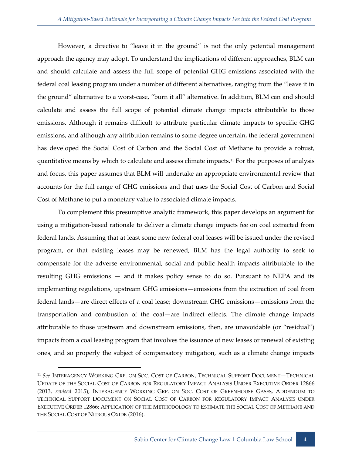However, a directive to "leave it in the ground" is not the only potential management approach the agency may adopt. To understand the implications of different approaches, BLM can and should calculate and assess the full scope of potential GHG emissions associated with the federal coal leasing program under a number of different alternatives, ranging from the "leave it in the ground" alternative to a worst-case, "burn it all" alternative. In addition, BLM can and should calculate and assess the full scope of potential climate change impacts attributable to those emissions. Although it remains difficult to attribute particular climate impacts to specific GHG emissions, and although any attribution remains to some degree uncertain, the federal government has developed the Social Cost of Carbon and the Social Cost of Methane to provide a robust, quantitative means by which to calculate and assess climate impacts.<sup>11</sup> For the purposes of analysis and focus, this paper assumes that BLM will undertake an appropriate environmental review that accounts for the full range of GHG emissions and that uses the Social Cost of Carbon and Social Cost of Methane to put a monetary value to associated climate impacts.

To complement this presumptive analytic framework, this paper develops an argument for using a mitigation-based rationale to deliver a climate change impacts fee on coal extracted from federal lands. Assuming that at least some new federal coal leases will be issued under the revised program, or that existing leases may be renewed, BLM has the legal authority to seek to compensate for the adverse environmental, social and public health impacts attributable to the resulting GHG emissions — and it makes policy sense to do so. Pursuant to NEPA and its implementing regulations, upstream GHG emissions—emissions from the extraction of coal from federal lands—are direct effects of a coal lease; downstream GHG emissions—emissions from the transportation and combustion of the coal—are indirect effects. The climate change impacts attributable to those upstream and downstream emissions, then, are unavoidable (or "residual") impacts from a coal leasing program that involves the issuance of new leases or renewal of existing ones, and so properly the subject of compensatory mitigation, such as a climate change impacts

<sup>11</sup> *See* INTERAGENCY WORKING GRP. ON SOC. COST OF CARBON, TECHNICAL SUPPORT DOCUMENT—TECHNICAL UPDATE OF THE SOCIAL COST OF CARBON FOR REGULATORY IMPACT ANALYSIS UNDER EXECUTIVE ORDER 12866 (2013, *revised* 2015); INTERAGENCY WORKING GRP. ON SOC. COST OF GREENHOUSE GASES, ADDENDUM TO TECHNICAL SUPPORT DOCUMENT ON SOCIAL COST OF CARBON FOR REGULATORY IMPACT ANALYSIS UNDER EXECUTIVE ORDER 12866: APPLICATION OF THE METHODOLOGY TO ESTIMATE THE SOCIAL COST OF METHANE AND THE SOCIAL COST OF NITROUS OXIDE (2016).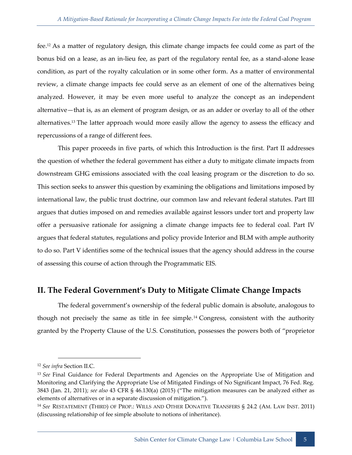fee.<sup>12</sup> As a matter of regulatory design, this climate change impacts fee could come as part of the bonus bid on a lease, as an in-lieu fee, as part of the regulatory rental fee, as a stand-alone lease condition, as part of the royalty calculation or in some other form. As a matter of environmental review, a climate change impacts fee could serve as an element of one of the alternatives being analyzed. However, it may be even more useful to analyze the concept as an independent alternative—that is, as an element of program design, or as an adder or overlay to all of the other alternatives.<sup>13</sup> The latter approach would more easily allow the agency to assess the efficacy and repercussions of a range of different fees.

This paper proceeds in five parts, of which this Introduction is the first. Part II addresses the question of whether the federal government has either a duty to mitigate climate impacts from downstream GHG emissions associated with the coal leasing program or the discretion to do so. This section seeks to answer this question by examining the obligations and limitations imposed by international law, the public trust doctrine, our common law and relevant federal statutes. Part III argues that duties imposed on and remedies available against lessors under tort and property law offer a persuasive rationale for assigning a climate change impacts fee to federal coal. Part IV argues that federal statutes, regulations and policy provide Interior and BLM with ample authority to do so. Part V identifies some of the technical issues that the agency should address in the course of assessing this course of action through the Programmatic EIS.

## <span id="page-13-0"></span>**II. The Federal Government's Duty to Mitigate Climate Change Impacts**

The federal government's ownership of the federal public domain is absolute, analogous to though not precisely the same as title in fee simple.<sup>14</sup> Congress, consistent with the authority granted by the Property Clause of the U.S. Constitution, possesses the powers both of "proprietor

<sup>12</sup> *See infra* Section II.C.

<sup>13</sup> *See* Final Guidance for Federal Departments and Agencies on the Appropriate Use of Mitigation and Monitoring and Clarifying the Appropriate Use of Mitigated Findings of No Significant Impact, 76 Fed. Reg. 3843 (Jan. 21, 2011); *see also* 43 CFR § 46.130(a) (2015) ("The mitigation measures can be analyzed either as elements of alternatives or in a separate discussion of mitigation.").

<sup>14</sup> *See* RESTATEMENT (THIRD) OF PROP.: WILLS AND OTHER DONATIVE TRANSFERS § 24.2 (AM. LAW INST. 2011) (discussing relationship of fee simple absolute to notions of inheritance).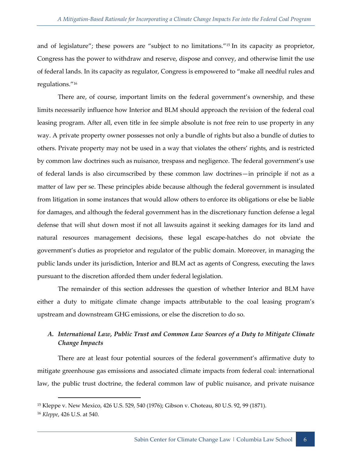and of legislature"; these powers are "subject to no limitations."<sup>15</sup> In its capacity as proprietor, Congress has the power to withdraw and reserve, dispose and convey, and otherwise limit the use of federal lands. In its capacity as regulator, Congress is empowered to "make all needful rules and regulations."<sup>16</sup>

There are, of course, important limits on the federal government's ownership, and these limits necessarily influence how Interior and BLM should approach the revision of the federal coal leasing program. After all, even title in fee simple absolute is not free rein to use property in any way. A private property owner possesses not only a bundle of rights but also a bundle of duties to others. Private property may not be used in a way that violates the others' rights, and is restricted by common law doctrines such as nuisance, trespass and negligence. The federal government's use of federal lands is also circumscribed by these common law doctrines—in principle if not as a matter of law per se. These principles abide because although the federal government is insulated from litigation in some instances that would allow others to enforce its obligations or else be liable for damages, and although the federal government has in the discretionary function defense a legal defense that will shut down most if not all lawsuits against it seeking damages for its land and natural resources management decisions, these legal escape-hatches do not obviate the government's duties as proprietor and regulator of the public domain. Moreover, in managing the public lands under its jurisdiction, Interior and BLM act as agents of Congress, executing the laws pursuant to the discretion afforded them under federal legislation.

The remainder of this section addresses the question of whether Interior and BLM have either a duty to mitigate climate change impacts attributable to the coal leasing program's upstream and downstream GHG emissions, or else the discretion to do so.

## <span id="page-14-0"></span>*A. International Law, Public Trust and Common Law Sources of a Duty to Mitigate Climate Change Impacts*

There are at least four potential sources of the federal government's affirmative duty to mitigate greenhouse gas emissions and associated climate impacts from federal coal: international law, the public trust doctrine, the federal common law of public nuisance, and private nuisance

<sup>15</sup> Kleppe v. New Mexico, 426 U.S. 529, 540 (1976); Gibson v. Choteau, 80 U.S. 92, 99 (1871).

<sup>16</sup> *Kleppe*, 426 U.S. at 540.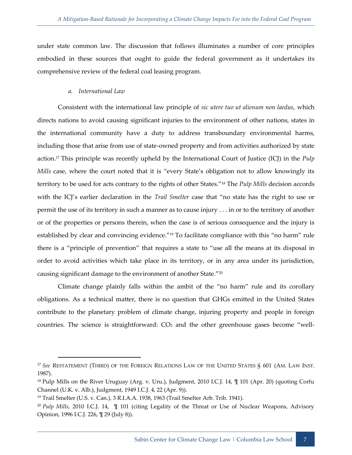under state common law. The discussion that follows illuminates a number of core principles embodied in these sources that ought to guide the federal government as it undertakes its comprehensive review of the federal coal leasing program.

### *a. International Law*

<span id="page-15-0"></span>Consistent with the international law principle of *sic utere tuo ut alienum non laedus*, which directs nations to avoid causing significant injuries to the environment of other nations, states in the international community have a duty to address transboundary environmental harms, including those that arise from use of state-owned property and from activities authorized by state action.<sup>17</sup> This principle was recently upheld by the International Court of Justice (ICJ) in the *Pulp Mills* case, where the court noted that it is "every State's obligation not to allow knowingly its territory to be used for acts contrary to the rights of other States."<sup>18</sup> The *Pulp Mills* decision accords with the ICJ's earlier declaration in the *Trail Smelter* case that "no state has the right to use or permit the use of its territory in such a manner as to cause injury . . . in or to the territory of another or of the properties or persons therein, when the case is of serious consequence and the injury is established by clear and convincing evidence."<sup>19</sup> To facilitate compliance with this "no harm" rule there is a "principle of prevention" that requires a state to "use all the means at its disposal in order to avoid activities which take place in its territory, or in any area under its jurisdiction, causing significant damage to the environment of another State."<sup>20</sup>

Climate change plainly falls within the ambit of the "no harm" rule and its corollary obligations. As a technical matter, there is no question that GHGs emitted in the United States contribute to the planetary problem of climate change, injuring property and people in foreign countries. The science is straightforward:  $CO<sub>2</sub>$  and the other greenhouse gases become "well-

<sup>17</sup> *See* RESTATEMENT (THIRD) OF THE FOREIGN RELATIONS LAW OF THE UNITED STATES § 601 (AM. LAW INST. 1987).

<sup>18</sup> Pulp Mills on the River Uruguay (Arg. v. Uru.), Judgment, 2010 I.C.J. 14, ¶ 101 (Apr. 20) (quoting Corfu Channel (U.K. v. Alb.), Judgment, 1949 I.C.J. 4, 22 (Apr. 9)).

<sup>19</sup> Trail Smelter (U.S. v. Can.), 3 R.I.A.A. 1938, 1963 (Trail Smelter Arb. Trib. 1941).

<sup>20</sup> *Pulp Mills*, 2010 I.C.J. 14, ¶ 101 (citing Legality of the Threat or Use of Nuclear Weapons, Advisory Opinion, 1996 I.C.J. 226, ¶ 29 (July 8)).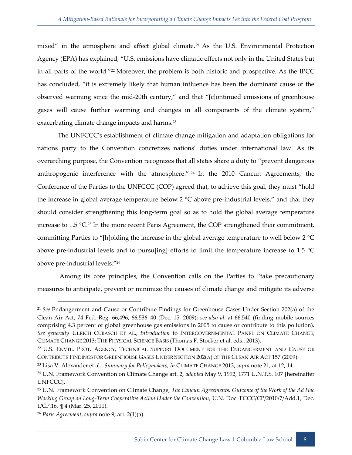mixed" in the atmosphere and affect global climate.<sup>21</sup> As the U.S. Environmental Protection Agency (EPA) has explained, "U.S. emissions have climatic effects not only in the United States but in all parts of the world."<sup>22</sup> Moreover, the problem is both historic and prospective. As the IPCC has concluded, "it is extremely likely that human influence has been the dominant cause of the observed warming since the mid-20th century," and that "[c]ontinued emissions of greenhouse gases will cause further warming and changes in all components of the climate system," exacerbating climate change impacts and harms.<sup>23</sup>

The UNFCCC's establishment of climate change mitigation and adaptation obligations for nations party to the Convention concretizes nations' duties under international law. As its overarching purpose, the Convention recognizes that all states share a duty to "prevent dangerous anthropogenic interference with the atmosphere." <sup>24</sup> In the 2010 Cancun Agreements, the Conference of the Parties to the UNFCCC (COP) agreed that, to achieve this goal, they must "hold the increase in global average temperature below 2 °C above pre-industrial levels," and that they should consider strengthening this long-term goal so as to hold the global average temperature increase to  $1.5 \text{ }^{\circ}C^{25}$  In the more recent Paris Agreement, the COP strengthened their commitment, committing Parties to "[h]olding the increase in the global average temperature to well below 2  $^{\circ}C$ above pre-industrial levels and to pursuling] efforts to limit the temperature increase to 1.5  $^{\circ}$ C above pre-industrial levels."<sup>26</sup>

Among its core principles, the Convention calls on the Parties to "take precautionary measures to anticipate, prevent or minimize the causes of climate change and mitigate its adverse

<sup>21</sup> *See* Endangerment and Cause or Contribute Findings for Greenhouse Gases Under Section 202(a) of the Clean Air Act, 74 Fed. Reg. 66,496, 66,536–40 (Dec. 15, 2009); *see also id.* at 66,540 (finding mobile sources comprising 4.3 percent of global greenhouse gas emissions in 2005 to cause or contribute to this pollution). *See generally* ULRICH CUBASCH ET AL., *Introduction* to INTERGOVERNMENTAL PANEL ON CLIMATE CHANGE, CLIMATE CHANGE 2013: THE PHYSICAL SCIENCE BASIS (Thomas F. Stocker et al. eds., 2013).

<sup>22</sup> U.S. ENVTL. PROT. AGENCY, TECHNICAL SUPPORT DOCUMENT FOR THE ENDANGERMENT AND CAUSE OR CONTRIBUTE FINDINGS FOR GREENHOUSE GASES UNDER SECTION 202(A) OF THE CLEAN AIR ACT 157 (2009).

<sup>23</sup> Lisa V. Alexander et al., *Summary for Policymakers*, *in* CLIMATE CHANGE 2013, *supra* note 21, at 12, 14.

<sup>24</sup> U.N. Framework Convention on Climate Change art. 2, *adopted* May 9, 1992, 1771 U.N.T.S. 107 [hereinafter UNFCCC].

<sup>25</sup> U.N. Framework Convention on Climate Change, *The Cancun Agreements: Outcome of the Work of the Ad Hoc Working Group on Long-Term Cooperative Action Under the Convention*, U.N. Doc. FCCC/CP/2010/7/Add.1, Dec. 1/CP.16, ¶ 4 (Mar. 25, 2011).

<sup>26</sup> *Paris Agreement*, *supra* note 9, art. 2(1)(a).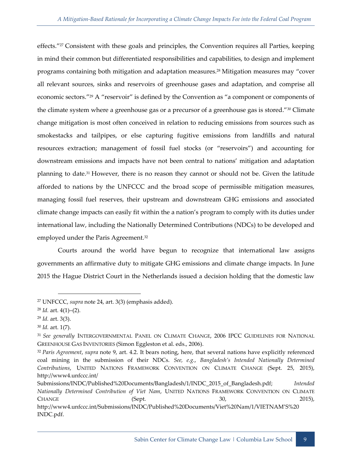effects."<sup>27</sup> Consistent with these goals and principles, the Convention requires all Parties, keeping in mind their common but differentiated responsibilities and capabilities, to design and implement programs containing both mitigation and adaptation measures.<sup>28</sup> Mitigation measures may "cover all relevant sources, sinks and reservoirs of greenhouse gases and adaptation, and comprise all economic sectors."<sup>29</sup> A "reservoir" is defined by the Convention as "a component or components of the climate system where a greenhouse gas or a precursor of a greenhouse gas is stored."<sup>30</sup> Climate change mitigation is most often conceived in relation to reducing emissions from sources such as smokestacks and tailpipes, or else capturing fugitive emissions from landfills and natural resources extraction; management of fossil fuel stocks (or "reservoirs") and accounting for downstream emissions and impacts have not been central to nations' mitigation and adaptation planning to date.<sup>31</sup> However, there is no reason they cannot or should not be. Given the latitude afforded to nations by the UNFCCC and the broad scope of permissible mitigation measures, managing fossil fuel reserves, their upstream and downstream GHG emissions and associated climate change impacts can easily fit within the a nation's program to comply with its duties under international law, including the Nationally Determined Contributions (NDCs) to be developed and employed under the Paris Agreement.<sup>32</sup>

Courts around the world have begun to recognize that international law assigns governments an affirmative duty to mitigate GHG emissions and climate change impacts. In June 2015 the Hague District Court in the Netherlands issued a decision holding that the domestic law

<sup>27</sup> UNFCCC, *supra* note 24, art. 3(3) (emphasis added).

<sup>28</sup> *Id.* art. 4(1)–(2).

<sup>29</sup> *Id.* art. 3(3).

<sup>30</sup> *Id.* art. 1(7).

<sup>31</sup> *See generally* INTERGOVERNMENTAL PANEL ON CLIMATE CHANGE, 2006 IPCC GUIDELINES FOR NATIONAL GREENHOUSE GAS INVENTORIES (Simon Eggleston et al. eds., 2006).

<sup>32</sup> *Paris Agreement*, *supra* note 9, art. 4.2. It bears noting, here, that several nations have explicitly referenced coal mining in the submission of their NDCs. *See, e.g.*, *Bangladesh's Intended Nationally Determined Contributions*, UNITED NATIONS FRAMEWORK CONVENTION ON CLIMATE CHANGE (Sept. 25, 2015), http://www4.unfccc.int/

Submissions/INDC/Published%20Documents/Bangladesh/1/INDC\_2015\_of\_Bangladesh.pdf; *Intended Nationally Determined Contribution of Viet Nam*, UNITED NATIONS FRAMEWORK CONVENTION ON CLIMATE CHANGE (Sept. 30, 2015),

http://www4.unfccc.int/Submissions/INDC/Published%20Documents/Viet%20Nam/1/VIETNAM'S%20 INDC.pdf.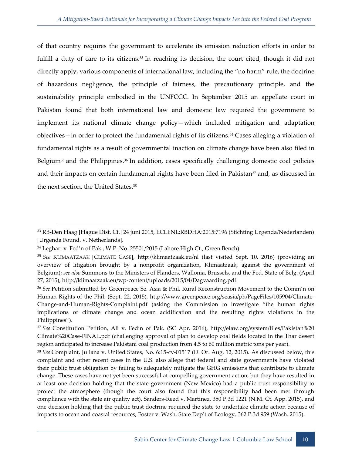of that country requires the government to accelerate its emission reduction efforts in order to fulfill a duty of care to its citizens.<sup>33</sup> In reaching its decision, the court cited, though it did not directly apply, various components of international law, including the "no harm" rule, the doctrine of hazardous negligence, the principle of fairness, the precautionary principle, and the sustainability principle embodied in the UNFCCC. In September 2015 an appellate court in Pakistan found that both international law and domestic law required the government to implement its national climate change policy—which included mitigation and adaptation objectives—in order to protect the fundamental rights of its citizens.<sup>34</sup> Cases alleging a violation of fundamental rights as a result of governmental inaction on climate change have been also filed in Belgium<sup>35</sup> and the Philippines.<sup>36</sup> In addition, cases specifically challenging domestic coal policies and their impacts on certain fundamental rights have been filed in Pakistan<sup>37</sup> and, as discussed in the next section, the United States.<sup>38</sup>

<sup>33</sup> RB-Den Haag [Hague Dist. Ct.] 24 juni 2015, ECLI:NL:RBDHA:2015:7196 (Stichting Urgenda/Nederlanden) [Urgenda Found. v. Netherlands].

<sup>&</sup>lt;sup>34</sup> Leghari v. Fed'n of Pak., W.P. No. 25501/2015 (Lahore High Ct., Green Bench).

<sup>35</sup> *See* KLIMAATZAAK [CLIMATE CASE], http://klimaatzaak.eu/nl (last visited Sept. 10, 2016) (providing an overview of litigation brought by a nonprofit organization, Klimaatzaak, against the government of Belgium); *see also* Summons to the Ministers of Flanders, Wallonia, Brussels, and the Fed. State of Belg. (April 27, 2015), http://klimaatzaak.eu/wp-content/uploads/2015/04/Dagvaarding.pdf.

<sup>36</sup> *See* Petition submitted by Greenpeace Se. Asia & Phil. Rural Reconstruction Movement to the Comm'n on Human Rights of the Phil. (Sept. 22, 2015), http://www.greenpeace.org/seasia/ph/PageFiles/105904/Climate-Change-and-Human-Rights-Complaint.pdf (asking the Commission to investigate "the human rights implications of climate change and ocean acidification and the resulting rights violations in the Philippines").

<sup>37</sup> *See* Constitution Petition, Ali v. Fed'n of Pak. (SC Apr. 2016), http://elaw.org/system/files/Pakistan%20 Climate%20Case-FINAL.pdf (challenging approval of plan to develop coal fields located in the Thar desert region anticipated to increase Pakistani coal production from 4.5 to 60 million metric tons per year).

<sup>38</sup> *See* Complaint, Juliana v. United States, No. 6:15-cv-01517 (D. Or. Aug. 12, 2015). As discussed below, this complaint and other recent cases in the U.S. also allege that federal and state governments have violated their public trust obligation by failing to adequately mitigate the GHG emissions that contribute to climate change. These cases have not yet been successful at compelling government action, but they have resulted in at least one decision holding that the state government (New Mexico) had a public trust responsibility to protect the atmosphere (though the court also found that this responsibility had been met through compliance with the state air quality act), Sanders-Reed v. Martinez, 350 P.3d 1221 (N.M. Ct. App. 2015), and one decision holding that the public trust doctrine required the state to undertake climate action because of impacts to ocean and coastal resources, Foster v. Wash. State Dep't of Ecology, 362 P.3d 959 (Wash. 2015).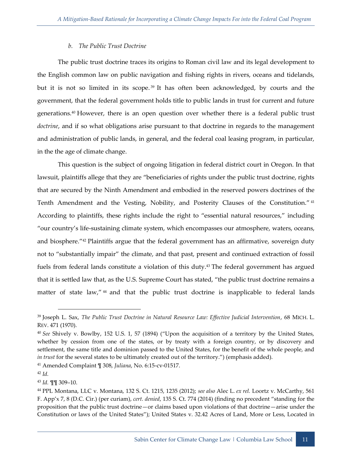#### *b. The Public Trust Doctrine*

<span id="page-19-0"></span>The public trust doctrine traces its origins to Roman civil law and its legal development to the English common law on public navigation and fishing rights in rivers, oceans and tidelands, but it is not so limited in its scope.<sup>39</sup> It has often been acknowledged, by courts and the government, that the federal government holds title to public lands in trust for current and future generations.<sup>40</sup> However, there is an open question over whether there is a federal public trust *doctrine*, and if so what obligations arise pursuant to that doctrine in regards to the management and administration of public lands, in general, and the federal coal leasing program, in particular, in the the age of climate change.

This question is the subject of ongoing litigation in federal district court in Oregon. In that lawsuit, plaintiffs allege that they are "beneficiaries of rights under the public trust doctrine, rights that are secured by the Ninth Amendment and embodied in the reserved powers doctrines of the Tenth Amendment and the Vesting, Nobility, and Posterity Clauses of the Constitution." <sup>41</sup> According to plaintiffs, these rights include the right to "essential natural resources," including "our country's life-sustaining climate system, which encompasses our atmosphere, waters, oceans, and biosphere."<sup>42</sup> Plaintiffs argue that the federal government has an affirmative, sovereign duty not to "substantially impair" the climate, and that past, present and continued extraction of fossil fuels from federal lands constitute a violation of this duty.<sup>43</sup> The federal government has argued that it is settled law that, as the U.S. Supreme Court has stated, "the public trust doctrine remains a matter of state law,"<sup>44</sup> and that the public trust doctrine is inapplicable to federal lands

<sup>41</sup> Amended Complaint ¶ 308, *Juliana*, No. 6:15-cv-01517.

<sup>39</sup> Joseph L. Sax, *The Public Trust Doctrine in Natural Resource Law: Effective Judicial Intervention*, 68 MICH. L. REV. 471 (1970).

<sup>40</sup> *See* Shively v. Bowlby, 152 U.S. 1, 57 (1894) ("Upon the acquisition of a territory by the United States, whether by cession from one of the states, or by treaty with a foreign country, or by discovery and settlement, the same title and dominion passed to the United States, for the benefit of the whole people, and *in trust* for the several states to be ultimately created out of the territory.") (emphasis added).

 $42$  *Id.* 

<sup>43</sup> *Id.* ¶¶ 309–10.

<sup>44</sup> PPL Montana, LLC v. Montana, 132 S. Ct. 1215, 1235 (2012); *see also* Alec L. *ex rel.* Loortz v. McCarthy, 561 F. App'x 7, 8 (D.C. Cir.) (per curiam), *cert. denied*, 135 S. Ct. 774 (2014) (finding no precedent "standing for the proposition that the public trust doctrine—or claims based upon violations of that doctrine—arise under the Constitution or laws of the United States"); United States v. 32.42 Acres of Land, More or Less, Located in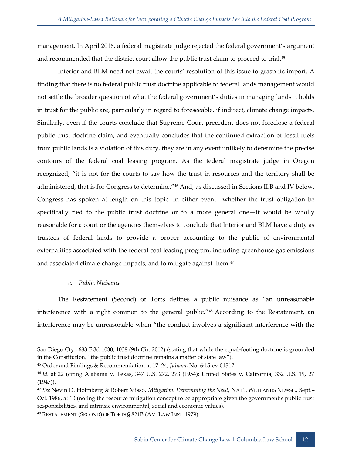management. In April 2016, a federal magistrate judge rejected the federal government's argument and recommended that the district court allow the public trust claim to proceed to trial.<sup>45</sup>

Interior and BLM need not await the courts' resolution of this issue to grasp its import. A finding that there is no federal public trust doctrine applicable to federal lands management would not settle the broader question of what the federal government's duties in managing lands it holds in trust for the public are, particularly in regard to foreseeable, if indirect, climate change impacts. Similarly, even if the courts conclude that Supreme Court precedent does not foreclose a federal public trust doctrine claim, and eventually concludes that the continued extraction of fossil fuels from public lands is a violation of this duty, they are in any event unlikely to determine the precise contours of the federal coal leasing program. As the federal magistrate judge in Oregon recognized, "it is not for the courts to say how the trust in resources and the territory shall be administered, that is for Congress to determine."<sup>46</sup> And, as discussed in Sections II.B and IV below, Congress has spoken at length on this topic. In either event—whether the trust obligation be specifically tied to the public trust doctrine or to a more general one—it would be wholly reasonable for a court or the agencies themselves to conclude that Interior and BLM have a duty as trustees of federal lands to provide a proper accounting to the public of environmental externalities associated with the federal coal leasing program, including greenhouse gas emissions and associated climate change impacts, and to mitigate against them.<sup>47</sup>

#### *c. Public Nuisance*

-

<span id="page-20-0"></span>The Restatement (Second) of Torts defines a public nuisance as "an unreasonable interference with a right common to the general public."<sup>48</sup> According to the Restatement, an interference may be unreasonable when "the conduct involves a significant interference with the

<sup>48</sup> RESTATEMENT (SECOND) OF TORTS § 821B (AM. LAW INST. 1979).

San Diego Cty., 683 F.3d 1030, 1038 (9th Cir. 2012) (stating that while the equal-footing doctrine is grounded in the Constitution, "the public trust doctrine remains a matter of state law").

<sup>45</sup> Order and Findings & Recommendation at 17–24, *Juliana*, No. 6:15-cv-01517.

<sup>46</sup> *Id.* at 22 (citing Alabama v. Texas, 347 U.S. 272, 273 (1954); United States v. California, 332 U.S. 19, 27 (1947)).

<sup>47</sup> *See* Nevin D. Holmberg & Robert Misso, *Mitigation: Determining the Need*, NAT'L WETLANDS NEWSL., Sept.– Oct. 1986, at 10 (noting the resource mitigation concept to be appropriate given the government's public trust responsibilities, and intrinsic environmental, social and economic values).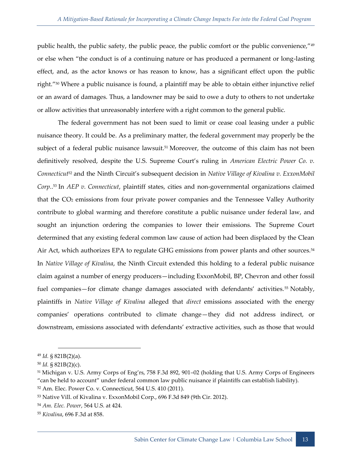public health, the public safety, the public peace, the public comfort or the public convenience,"<sup>49</sup> or else when "the conduct is of a continuing nature or has produced a permanent or long-lasting effect, and, as the actor knows or has reason to know, has a significant effect upon the public right."<sup>50</sup> Where a public nuisance is found, a plaintiff may be able to obtain either injunctive relief or an award of damages. Thus, a landowner may be said to owe a duty to others to not undertake or allow activities that unreasonably interfere with a right common to the general public.

The federal government has not been sued to limit or cease coal leasing under a public nuisance theory. It could be. As a preliminary matter, the federal government may properly be the subject of a federal public nuisance lawsuit.<sup>51</sup> Moreover, the outcome of this claim has not been definitively resolved, despite the U.S. Supreme Court's ruling in *American Electric Power Co. v. Connecticut*<sup>52</sup> and the Ninth Circuit's subsequent decision in *Native Village of Kivalina v. ExxonMobil Corp.*. <sup>53</sup> In *AEP v. Connecticut*, plaintiff states, cities and non-governmental organizations claimed that the CO<sup>2</sup> emissions from four private power companies and the Tennessee Valley Authority contribute to global warming and therefore constitute a public nuisance under federal law, and sought an injunction ordering the companies to lower their emissions. The Supreme Court determined that any existing federal common law cause of action had been displaced by the Clean Air Act, which authorizes EPA to regulate GHG emissions from power plants and other sources.<sup>54</sup> In *Native Village of Kivalina*, the Ninth Circuit extended this holding to a federal public nuisance claim against a number of energy producers—including ExxonMobil, BP, Chevron and other fossil fuel companies—for climate change damages associated with defendants' activities.<sup>55</sup> Notably, plaintiffs in *Native Village of Kivalina* alleged that *direct* emissions associated with the energy companies' operations contributed to climate change—they did not address indirect, or downstream, emissions associated with defendants' extractive activities, such as those that would

<sup>-</sup><sup>49</sup> *Id.* § 821B(2)(a).

<sup>50</sup> *Id.* § 821B(2)(c).

<sup>51</sup> Michigan v. U.S. Army Corps of Eng'rs, 758 F.3d 892, 901–02 (holding that U.S. Army Corps of Engineers "can be held to account" under federal common law public nuisance if plaintiffs can establish liability).

<sup>52</sup> Am. Elec. Power Co. v. Connecticut, 564 U.S. 410 (2011).

<sup>53</sup> Native Vill. of Kivalina v. ExxonMobil Corp., 696 F.3d 849 (9th Cir. 2012).

<sup>54</sup> *Am. Elec. Power*, 564 U.S. at 424.

<sup>55</sup> *Kivalina*, 696 F.3d at 858.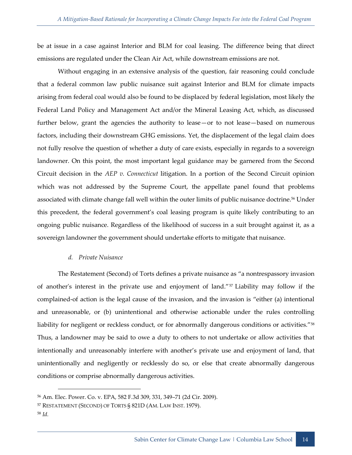be at issue in a case against Interior and BLM for coal leasing. The difference being that direct emissions are regulated under the Clean Air Act, while downstream emissions are not.

Without engaging in an extensive analysis of the question, fair reasoning could conclude that a federal common law public nuisance suit against Interior and BLM for climate impacts arising from federal coal would also be found to be displaced by federal legislation, most likely the Federal Land Policy and Management Act and/or the Mineral Leasing Act, which, as discussed further below, grant the agencies the authority to lease—or to not lease—based on numerous factors, including their downstream GHG emissions. Yet, the displacement of the legal claim does not fully resolve the question of whether a duty of care exists, especially in regards to a sovereign landowner. On this point, the most important legal guidance may be garnered from the Second Circuit decision in the *AEP v. Connecticut* litigation. In a portion of the Second Circuit opinion which was not addressed by the Supreme Court, the appellate panel found that problems associated with climate change fall well within the outer limits of public nuisance doctrine.<sup>56</sup> Under this precedent, the federal government's coal leasing program is quite likely contributing to an ongoing public nuisance. Regardless of the likelihood of success in a suit brought against it, as a sovereign landowner the government should undertake efforts to mitigate that nuisance.

#### *d. Private Nuisance*

<span id="page-22-0"></span>The Restatement (Second) of Torts defines a private nuisance as "a nontrespassory invasion of another's interest in the private use and enjoyment of land."<sup>57</sup> Liability may follow if the complained-of action is the legal cause of the invasion, and the invasion is "either (a) intentional and unreasonable, or (b) unintentional and otherwise actionable under the rules controlling liability for negligent or reckless conduct, or for abnormally dangerous conditions or activities."<sup>58</sup> Thus, a landowner may be said to owe a duty to others to not undertake or allow activities that intentionally and unreasonably interfere with another's private use and enjoyment of land, that unintentionally and negligently or recklessly do so, or else that create abnormally dangerous conditions or comprise abnormally dangerous activities.

<sup>56</sup> Am. Elec. Power. Co. v. EPA, 582 F.3d 309, 331, 349–71 (2d Cir. 2009).

<sup>57</sup> RESTATEMENT (SECOND) OF TORTS § 821D (AM. LAW INST. 1979).

<sup>58</sup> *Id.*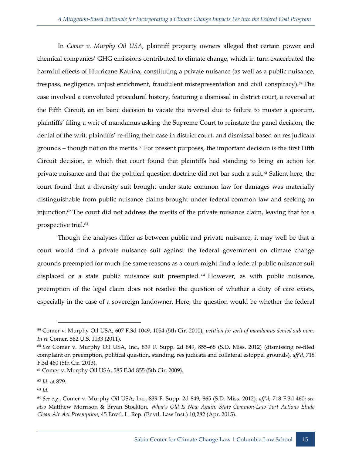In *Comer v. Murphy Oil USA*, plaintiff property owners alleged that certain power and chemical companies' GHG emissions contributed to climate change, which in turn exacerbated the harmful effects of Hurricane Katrina, constituting a private nuisance (as well as a public nuisance, trespass, negligence, unjust enrichment, fraudulent misrepresentation and civil conspiracy).<sup>59</sup> The case involved a convoluted procedural history, featuring a dismissal in district court, a reversal at the Fifth Circuit, an en banc decision to vacate the reversal due to failure to muster a quorum, plaintiffs' filing a writ of mandamus asking the Supreme Court to reinstate the panel decision, the denial of the writ, plaintiffs' re-filing their case in district court, and dismissal based on res judicata grounds  $-$  though not on the merits.<sup>60</sup> For present purposes, the important decision is the first Fifth Circuit decision, in which that court found that plaintiffs had standing to bring an action for private nuisance and that the political question doctrine did not bar such a suit.<sup>61</sup> Salient here, the court found that a diversity suit brought under state common law for damages was materially distinguishable from public nuisance claims brought under federal common law and seeking an injunction.<sup>62</sup> The court did not address the merits of the private nuisance claim, leaving that for a prospective trial.<sup>63</sup>

Though the analyses differ as between public and private nuisance, it may well be that a court would find a private nuisance suit against the federal government on climate change grounds preempted for much the same reasons as a court might find a federal public nuisance suit displaced or a state public nuisance suit preempted. <sup>64</sup> However, as with public nuisance, preemption of the legal claim does not resolve the question of whether a duty of care exists, especially in the case of a sovereign landowner. Here, the question would be whether the federal

<sup>59</sup> Comer v. Murphy Oil USA, 607 F.3d 1049, 1054 (5th Cir. 2010), *petition for writ of mandamus denied sub nom. In re* Comer, 562 U.S. 1133 (2011).

<sup>60</sup> *See* Comer v. Murphy Oil USA, Inc., 839 F. Supp. 2d 849, 855–68 (S.D. Miss. 2012) (dismissing re-filed complaint on preemption, political question, standing, res judicata and collateral estoppel grounds), *aff'd*, 718 F.3d 460 (5th Cir. 2013).

<sup>61</sup> Comer v. Murphy Oil USA, 585 F.3d 855 (5th Cir. 2009).

<sup>62</sup> *Id.* at 879.

<sup>63</sup> *Id.*

<sup>64</sup> *See e.g.*, Comer v. Murphy Oil USA, Inc., 839 F. Supp. 2d 849, 865 (S.D. Miss. 2012), *aff'd*, 718 F.3d 460; *see also* Matthew Morrison & Bryan Stockton, *What's Old Is New Again: State Common-Law Tort Actions Elude Clean Air Act Preemption*, 45 Envtl. L. Rep. (Envtl. Law Inst.) 10,282 (Apr. 2015).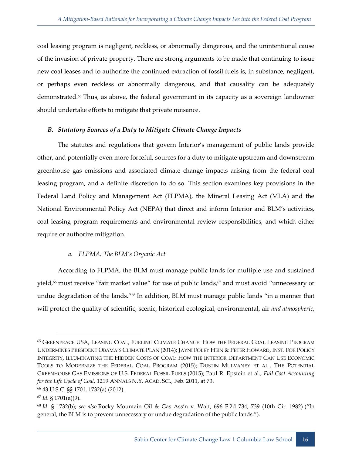coal leasing program is negligent, reckless, or abnormally dangerous, and the unintentional cause of the invasion of private property. There are strong arguments to be made that continuing to issue new coal leases and to authorize the continued extraction of fossil fuels is, in substance, negligent, or perhaps even reckless or abnormally dangerous, and that causality can be adequately demonstrated.<sup>65</sup> Thus, as above, the federal government in its capacity as a sovereign landowner should undertake efforts to mitigate that private nuisance.

#### <span id="page-24-0"></span>*B. Statutory Sources of a Duty to Mitigate Climate Change Impacts*

The statutes and regulations that govern Interior's management of public lands provide other, and potentially even more forceful, sources for a duty to mitigate upstream and downstream greenhouse gas emissions and associated climate change impacts arising from the federal coal leasing program, and a definite discretion to do so. This section examines key provisions in the Federal Land Policy and Management Act (FLPMA), the Mineral Leasing Act (MLA) and the National Environmental Policy Act (NEPA) that direct and inform Interior and BLM's activities, coal leasing program requirements and environmental review responsibilities, and which either require or authorize mitigation.

## *a. FLPMA: The BLM's Organic Act*

<span id="page-24-1"></span>According to FLPMA, the BLM must manage public lands for multiple use and sustained yield,<sup>66</sup> must receive "fair market value" for use of public lands,<sup>67</sup> and must avoid "unnecessary or undue degradation of the lands."<sup>68</sup> In addition, BLM must manage public lands "in a manner that will protect the quality of scientific, scenic, historical ecological, environmental, air *and atmospheric*,

<sup>65</sup> GREENPEACE USA, LEASING COAL, FUELING CLIMATE CHANGE: HOW THE FEDERAL COAL LEASING PROGRAM UNDERMINES PRESIDENT OBAMA'S CLIMATE PLAN (2014); JAYNI FOLEY HEIN & PETER HOWARD, INST. FOR POLICY INTEGRITY, ILLUMINATING THE HIDDEN COSTS OF COAL: HOW THE INTERIOR DEPARTMENT CAN USE ECONOMIC TOOLS TO MODERNIZE THE FEDERAL COAL PROGRAM (2015); DUSTIN MULVANEY ET AL., THE POTENTIAL GREENHOUSE GAS EMISSIONS OF U.S. FEDERAL FOSSIL FUELS (2015); Paul R. Epstein et al., *Full Cost Accounting for the Life Cycle of Coal*, 1219 ANNALS N.Y. ACAD. SCI., Feb. 2011, at 73.

<sup>66</sup> 43 U.S.C. §§ 1701, 1732(a) (2012).

<sup>67</sup> *Id.* § 1701(a)(9).

<sup>68</sup> *Id.* § 1732(b); *see also* Rocky Mountain Oil & Gas Ass'n v. Watt, 696 F.2d 734, 739 (10th Cir. 1982) ("In general, the BLM is to prevent unnecessary or undue degradation of the public lands.").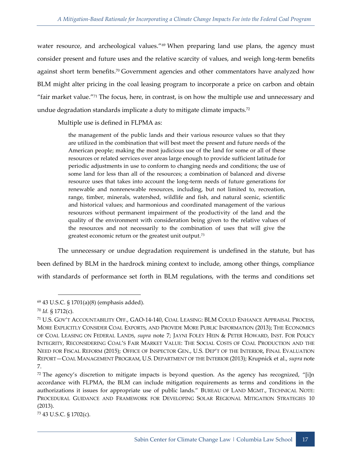water resource, and archeological values."<sup>69</sup> When preparing land use plans, the agency must consider present and future uses and the relative scarcity of values, and weigh long-term benefits against short term benefits.<sup>70</sup> Government agencies and other commentators have analyzed how BLM might alter pricing in the coal leasing program to incorporate a price on carbon and obtain "fair market value."<sup>71</sup> The focus, here, in contrast, is on how the multiple use and unnecessary and undue degradation standards implicate a duty to mitigate climate impacts.<sup>72</sup>

Multiple use is defined in FLPMA as:

the management of the public lands and their various resource values so that they are utilized in the combination that will best meet the present and future needs of the American people; making the most judicious use of the land for some or all of these resources or related services over areas large enough to provide sufficient latitude for periodic adjustments in use to conform to changing needs and conditions; the use of some land for less than all of the resources; a combination of balanced and diverse resource uses that takes into account the long-term needs of future generations for renewable and nonrenewable resources, including, but not limited to, recreation, range, timber, minerals, watershed, wildlife and fish, and natural scenic, scientific and historical values; and harmonious and coordinated management of the various resources without permanent impairment of the productivity of the land and the quality of the environment with consideration being given to the relative values of the resources and not necessarily to the combination of uses that will give the greatest economic return or the greatest unit output.<sup>73</sup>

The unnecessary or undue degradation requirement is undefined in the statute, but has been defined by BLM in the hardrock mining context to include, among other things, compliance with standards of performance set forth in BLM regulations, with the terms and conditions set

-

<sup>73</sup> 43 U.S.C. § 1702(c).

<sup>69</sup> 43 U.S.C. § 1701(a)(8) (emphasis added).

<sup>70</sup> *Id.* § 1712(c).

<sup>71</sup> U.S. GOV'T ACCOUNTABILITY OFF., GAO-14-140, COAL LEASING: BLM COULD ENHANCE APPRAISAL PROCESS, MORE EXPLICITLY CONSIDER COAL EXPORTS, AND PROVIDE MORE PUBLIC INFORMATION (2013); THE ECONOMICS OF COAL LEASING ON FEDERAL LANDS, *supra* note 7; JAYNI FOLEY HEIN & PETER HOWARD, INST. FOR POLICY INTEGRITY, RECONSIDERING COAL'S FAIR MARKET VALUE: THE SOCIAL COSTS OF COAL PRODUCTION AND THE NEED FOR FISCAL REFORM (2015); OFFICE OF INSPECTOR GEN., U.S. DEP'T OF THE INTERIOR, FINAL EVALUATION REPORT—COAL MANAGEMENT PROGRAM, U.S. DEPARTMENT OF THE INTERIOR (2013); Krupnick et al., *supra* note 7.

 $72$  The agency's discretion to mitigate impacts is beyond question. As the agency has recognized, "[i]n accordance with FLPMA, the BLM can include mitigation requirements as terms and conditions in the authorizations it issues for appropriate use of public lands." BUREAU OF LAND MGMT., TECHNICAL NOTE: PROCEDURAL GUIDANCE AND FRAMEWORK FOR DEVELOPING SOLAR REGIONAL MITIGATION STRATEGIES 10 (2013).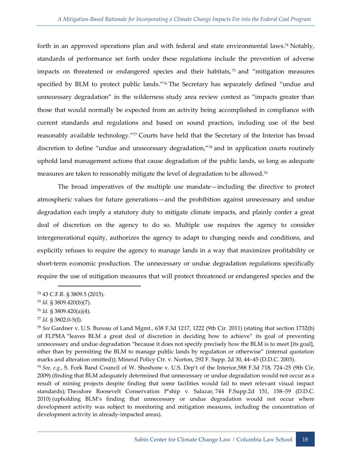forth in an approved operations plan and with federal and state environmental laws.<sup>74</sup> Notably, standards of performance set forth under these regulations include the prevention of adverse impacts on threatened or endangered species and their habitats,<sup>75</sup> and "mitigation measures specified by BLM to protect public lands."<sup>76</sup> The Secretary has separately defined "undue and unnecessary degradation" in the wilderness study area review context as "impacts greater than those that would normally be expected from an activity being accomplished in compliance with current standards and regulations and based on sound practices, including use of the best reasonably available technology."77 Courts have held that the Secretary of the Interior has broad discretion to define "undue and unnecessary degradation,"<sup>78</sup> and in application courts routinely uphold land management actions that cause degradation of the public lands, so long as adequate measures are taken to reasonably mitigate the level of degradation to be allowed.<sup>79</sup>

The broad imperatives of the multiple use mandate—including the directive to protect atmospheric values for future generations—and the prohibition against unnecessary and undue degradation each imply a statutory duty to mitigate climate impacts, and plainly confer a great deal of discretion on the agency to do so. Multiple use requires the agency to consider intergenerational equity, authorizes the agency to adapt to changing needs and conditions, and explicitly refuses to require the agency to manage lands in a way that maximizes profitability or short-term economic production. The unnecessary or undue degradation regulations specifically require the use of mitigation measures that will protect threatened or endangered species and the

<sup>77</sup> *Id.* § 3802.0-5(I).

<sup>74</sup> 43 C.F.R. § 3809.5 (2015).

<sup>75</sup> *Id.* § 3809.420(b)(7).

<sup>76</sup> *Id.* § 3809.420(a)(4).

<sup>78</sup> *See* Gardner v. U.S. Bureau of Land Mgmt.*,* 638 F.3d 1217, 1222 (9th Cir. 2011) (stating that section 1732(b) of FLPMA "leaves BLM a great deal of discretion in deciding how to achieve" its goal of preventing unnecessary and undue degradation "because it does not specify precisely how the BLM is to meet [its goal], other than by permitting the BLM to manage public lands by regulation or otherwise" (internal quotation marks and alteration omitted)); Mineral Policy Ctr. v. Norton, 292 F. Supp. 2d 30, 44–45 (D.D.C. 2003).

<sup>79</sup> *See, e.g.*, S. Fork Band Council of W. Shoshone v. U.S. Dep't of the Interior*,*588 F.3d 718, 724–25 (9th Cir. 2009) (finding that BLM adequately determined that unnecessary or undue degradation would not occur as a result of mining projects despite finding that some facilities would fail to meet relevant visual impact standards); Theodore Roosevelt Conservation P'ship v. Salazar, 744 F.Supp.2d 151, 158–59 (D.D.C. 2010) (upholding BLM's finding that unnecessary or undue degradation would not occur where development activity was subject to monitoring and mitigation measures, including the concentration of development activity in already-impacted areas).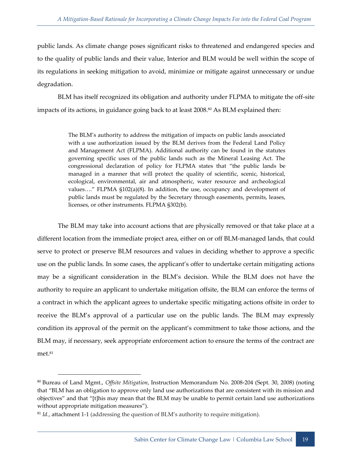public lands. As climate change poses significant risks to threatened and endangered species and to the quality of public lands and their value, Interior and BLM would be well within the scope of its regulations in seeking mitigation to avoid, minimize or mitigate against unnecessary or undue degradation.

BLM has itself recognized its obligation and authority under FLPMA to mitigate the off-site impacts of its actions, in guidance going back to at least  $2008.^{\circ\circ}$  As BLM explained then:

> The BLM's authority to address the mitigation of impacts on public lands associated with a use authorization issued by the BLM derives from the Federal Land Policy and Management Act (FLPMA). Additional authority can be found in the statutes governing specific uses of the public lands such as the Mineral Leasing Act. The congressional declaration of policy for FLPMA states that "the public lands be managed in a manner that will protect the quality of scientific, scenic, historical, ecological, environmental, air and atmospheric, water resource and archeological values…." FLPMA §102(a)(8). In addition, the use, occupancy and development of public lands must be regulated by the Secretary through easements, permits, leases, licenses, or other instruments. FLPMA §302(b).

The BLM may take into account actions that are physically removed or that take place at a different location from the immediate project area, either on or off BLM-managed lands, that could serve to protect or preserve BLM resources and values in deciding whether to approve a specific use on the public lands. In some cases, the applicant's offer to undertake certain mitigating actions may be a significant consideration in the BLM's decision. While the BLM does not have the authority to require an applicant to undertake mitigation offsite, the BLM can enforce the terms of a contract in which the applicant agrees to undertake specific mitigating actions offsite in order to receive the BLM's approval of a particular use on the public lands. The BLM may expressly condition its approval of the permit on the applicant's commitment to take those actions, and the BLM may, if necessary, seek appropriate enforcement action to ensure the terms of the contract are met.<sup>81</sup>

<sup>80</sup> Bureau of Land Mgmt., *Offsite Mitigation*, Instruction Memorandum No. 2008-204 (Sept. 30, 2008) (noting that "BLM has an obligation to approve only land use authorizations that are consistent with its mission and objectives" and that "[t]his may mean that the BLM may be unable to permit certain land use authorizations without appropriate mitigation measures").

<sup>81</sup> *Id.*, attachment 1-1 (addressing the question of BLM's authority to require mitigation).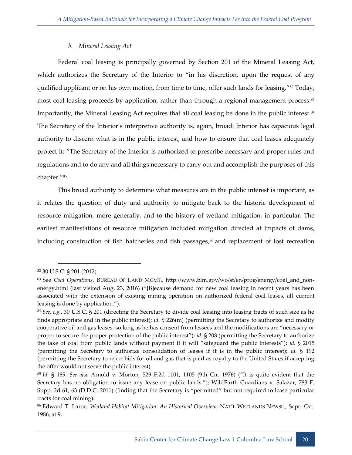#### *b. Mineral Leasing Act*

<span id="page-28-0"></span>Federal coal leasing is principally governed by Section 201 of the Mineral Leasing Act, which authorizes the Secretary of the Interior to "in his discretion, upon the request of any qualified applicant or on his own motion, from time to time, offer such lands for leasing."<sup>82</sup> Today, most coal leasing proceeds by application, rather than through a regional management process.<sup>83</sup> Importantly, the Mineral Leasing Act requires that all coal leasing be done in the public interest.<sup>84</sup> The Secretary of the Interior's interpretive authority is, again, broad: Interior has capacious legal authority to discern what is in the public interest, and how to ensure that coal leases adequately protect it: "The Secretary of the Interior is authorized to prescribe necessary and proper rules and regulations and to do any and all things necessary to carry out and accomplish the purposes of this chapter."<sup>85</sup>

This broad authority to determine what measures are in the public interest is important, as it relates the question of duty and authority to mitigate back to the historic development of resource mitigation, more generally, and to the history of wetland mitigation, in particular. The earliest manifestations of resource mitigation included mitigation directed at impacts of dams, including construction of fish hatcheries and fish passages, $86$  and replacement of lost recreation

<sup>82</sup> 30 U.S.C. § 201 (2012).

<sup>83</sup> See *Coal Operations*, BUREAU OF LAND MGMT., http://www.blm.gov/wo/st/en/prog/energy/coal\_and\_nonenergy.html (last visited Aug. 23, 2016) ("[B]ecause demand for new coal leasing in recent years has been associated with the extension of existing mining operation on authorized federal coal leases, all current leasing is done by application.").

<sup>84</sup> *See, e.g.*, 30 U.S.C. § 201 (directing the Secretary to divide coal leasing into leasing tracts of such size as he finds appropriate and in the public interest); *id.* § 226(m) (permitting the Secretary to authorize and modify cooperative oil and gas leases, so long as he has consent from lessees and the modifications are "necessary or proper to secure the proper protection of the public interest"); *id.* § 208 (permitting the Secretary to authorize the take of coal from public lands without payment if it will "safeguard the public interests"); *id.* § 2015 (permitting the Secretary to authorize consolidation of leases if it is in the public interest); *id.* § 192 (permitting the Secretary to reject bids for oil and gas that is paid as royalty to the United States if accepting the offer would not serve the public interest).

<sup>85</sup> *Id.* § 189. *See also* Arnold v. Morton, 529 F.2d 1101, 1105 (9th Cir. 1976) ("It is quite evident that the Secretary has no obligation to issue any lease on public lands."); WildEarth Guardians v. Salazar, 783 F. Supp. 2d 61, 63 (D.D.C. 2011) (finding that the Secretary is "permitted" but not required to lease particular tracts for coal mining).

<sup>86</sup> Edward T. Laroe, *Wetland Habitat Mitigation: An Historical Overview*, NAT'L WETLANDS NEWSL., Sept.–Oct. 1986, at 9.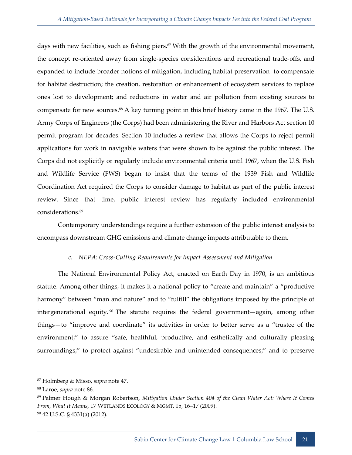days with new facilities, such as fishing piers.<sup>87</sup> With the growth of the environmental movement, the concept re-oriented away from single-species considerations and recreational trade-offs, and expanded to include broader notions of mitigation, including habitat preservation to compensate for habitat destruction; the creation, restoration or enhancement of ecosystem services to replace ones lost to development; and reductions in water and air pollution from existing sources to compensate for new sources.<sup>88</sup> A key turning point in this brief history came in the 1967. The U.S. Army Corps of Engineers (the Corps) had been administering the River and Harbors Act section 10 permit program for decades. Section 10 includes a review that allows the Corps to reject permit applications for work in navigable waters that were shown to be against the public interest. The Corps did not explicitly or regularly include environmental criteria until 1967, when the U.S. Fish and Wildlife Service (FWS) began to insist that the terms of the 1939 Fish and Wildlife Coordination Act required the Corps to consider damage to habitat as part of the public interest review. Since that time, public interest review has regularly included environmental considerations.<sup>89</sup>

Contemporary understandings require a further extension of the public interest analysis to encompass downstream GHG emissions and climate change impacts attributable to them.

#### *c. NEPA: Cross-Cutting Requirements for Impact Assessment and Mitigation*

<span id="page-29-0"></span>The National Environmental Policy Act, enacted on Earth Day in 1970, is an ambitious statute. Among other things, it makes it a national policy to "create and maintain" a "productive harmony" between "man and nature" and to "fulfill" the obligations imposed by the principle of intergenerational equity.<sup>90</sup> The statute requires the federal government—again, among other things—to "improve and coordinate" its activities in order to better serve as a "trustee of the environment;" to assure "safe, healthful, productive, and esthetically and culturally pleasing surroundings;" to protect against "undesirable and unintended consequences;" and to preserve

<sup>87</sup> Holmberg & Misso, *supra* note 47.

<sup>88</sup> Laroe, *supra* note 86.

<sup>89</sup> Palmer Hough & Morgan Robertson, *Mitigation Under Section 404 of the Clean Water Act: Where It Comes From, What It Means*, 17 WETLANDS ECOLOGY & MGMT. 15, 16–17 (2009). <sup>90</sup> 42 U.S.C. § 4331(a) (2012).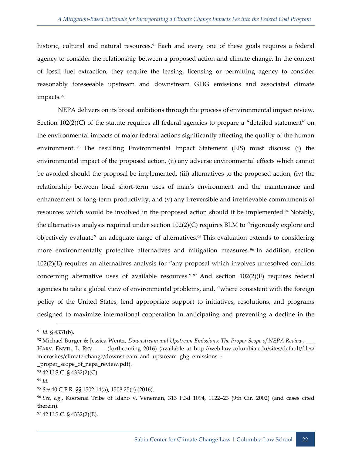historic, cultural and natural resources.<sup>91</sup> Each and every one of these goals requires a federal agency to consider the relationship between a proposed action and climate change. In the context of fossil fuel extraction, they require the leasing, licensing or permitting agency to consider reasonably foreseeable upstream and downstream GHG emissions and associated climate impacts.<sup>92</sup>

NEPA delivers on its broad ambitions through the process of environmental impact review. Section 102(2)(C) of the statute requires all federal agencies to prepare a "detailed statement" on the environmental impacts of major federal actions significantly affecting the quality of the human environment.<sup>93</sup> The resulting Environmental Impact Statement (EIS) must discuss: (i) the environmental impact of the proposed action, (ii) any adverse environmental effects which cannot be avoided should the proposal be implemented, (iii) alternatives to the proposed action, (iv) the relationship between local short-term uses of man's environment and the maintenance and enhancement of long-term productivity, and (v) any irreversible and irretrievable commitments of resources which would be involved in the proposed action should it be implemented.<sup>94</sup> Notably, the alternatives analysis required under section 102(2)(C) requires BLM to "rigorously explore and objectively evaluate" an adequate range of alternatives.<sup>95</sup> This evaluation extends to considering more environmentally protective alternatives and mitigation measures. <sup>96</sup> In addition, section 102(2)(E) requires an alternatives analysis for "any proposal which involves unresolved conflicts concerning alternative uses of available resources."  $\frac{97}{2}$  And section 102(2)(F) requires federal agencies to take a global view of environmental problems, and, "where consistent with the foreign policy of the United States, lend appropriate support to initiatives, resolutions, and programs designed to maximize international cooperation in anticipating and preventing a decline in the

\_proper\_scope\_of\_nepa\_review.pdf).

<sup>97</sup> 42 U.S.C. § 4332(2)(E).

 <sup>91</sup> *Id.* § 4331(b).

<sup>92</sup> Michael Burger & Jessica Wentz, *Downstream and Upstream Emissions: The Proper Scope of NEPA Review*, \_\_\_ HARV. ENVTL. L. REV. \_\_\_ (forthcoming 2016) (available at http://web.law.columbia.edu/sites/default/files/ microsites/climate-change/downstream\_and\_upstream\_ghg\_emissions\_-

<sup>93</sup> 42 U.S.C. § 4332(2)(C).

<sup>94</sup> *Id.*

<sup>95</sup> *See* 40 C.F.R. §§ 1502.14(a), 1508.25(c) (2016).

<sup>96</sup> *See, e.g.*, Kootenai Tribe of Idaho v. Veneman, 313 F.3d 1094, 1122–23 (9th Cir. 2002) (and cases cited therein).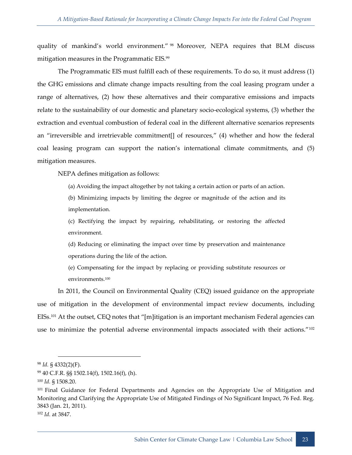quality of mankind's world environment." <sup>98</sup> Moreover, NEPA requires that BLM discuss mitigation measures in the Programmatic EIS.<sup>99</sup>

The Programmatic EIS must fulfill each of these requirements. To do so, it must address (1) the GHG emissions and climate change impacts resulting from the coal leasing program under a range of alternatives, (2) how these alternatives and their comparative emissions and impacts relate to the sustainability of our domestic and planetary socio-ecological systems, (3) whether the extraction and eventual combustion of federal coal in the different alternative scenarios represents an "irreversible and irretrievable commitment[] of resources," (4) whether and how the federal coal leasing program can support the nation's international climate commitments, and (5) mitigation measures.

NEPA defines mitigation as follows:

(a) Avoiding the impact altogether by not taking a certain action or parts of an action.

(b) Minimizing impacts by limiting the degree or magnitude of the action and its implementation.

(c) Rectifying the impact by repairing, rehabilitating, or restoring the affected environment.

(d) Reducing or eliminating the impact over time by preservation and maintenance operations during the life of the action.

(e) Compensating for the impact by replacing or providing substitute resources or environments.<sup>100</sup>

In 2011, the Council on Environmental Quality (CEQ) issued guidance on the appropriate use of mitigation in the development of environmental impact review documents, including EISs.<sup>101</sup> At the outset, CEQ notes that "[m]itigation is an important mechanism Federal agencies can use to minimize the potential adverse environmental impacts associated with their actions."<sup>102</sup>

 <sup>98</sup> *Id.* § 4332(2)(F).

<sup>99</sup> 40 C.F.R. §§ 1502.14(f), 1502.16(f), (h).

<sup>100</sup> *Id.* § 1508.20.

<sup>&</sup>lt;sup>101</sup> Final Guidance for Federal Departments and Agencies on the Appropriate Use of Mitigation and Monitoring and Clarifying the Appropriate Use of Mitigated Findings of No Significant Impact, 76 Fed. Reg. 3843 (Jan. 21, 2011). <sup>102</sup> *Id.* at 3847.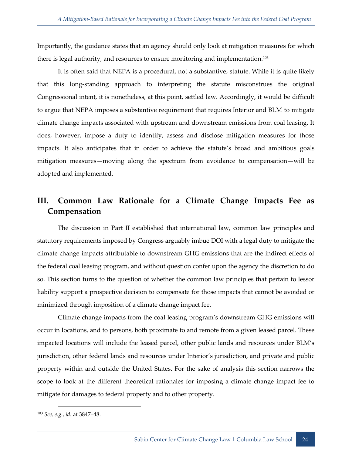Importantly, the guidance states that an agency should only look at mitigation measures for which there is legal authority, and resources to ensure monitoring and implementation.<sup>103</sup>

It is often said that NEPA is a procedural, not a substantive, statute. While it is quite likely that this long-standing approach to interpreting the statute misconstrues the original Congressional intent, it is nonetheless, at this point, settled law. Accordingly, it would be difficult to argue that NEPA imposes a substantive requirement that requires Interior and BLM to mitigate climate change impacts associated with upstream and downstream emissions from coal leasing. It does, however, impose a duty to identify, assess and disclose mitigation measures for those impacts. It also anticipates that in order to achieve the statute's broad and ambitious goals mitigation measures—moving along the spectrum from avoidance to compensation—will be adopted and implemented.

## <span id="page-32-0"></span>**III. Common Law Rationale for a Climate Change Impacts Fee as Compensation**

The discussion in Part II established that international law, common law principles and statutory requirements imposed by Congress arguably imbue DOI with a legal duty to mitigate the climate change impacts attributable to downstream GHG emissions that are the indirect effects of the federal coal leasing program, and without question confer upon the agency the discretion to do so. This section turns to the question of whether the common law principles that pertain to lessor liability support a prospective decision to compensate for those impacts that cannot be avoided or minimized through imposition of a climate change impact fee.

Climate change impacts from the coal leasing program's downstream GHG emissions will occur in locations, and to persons, both proximate to and remote from a given leased parcel. These impacted locations will include the leased parcel, other public lands and resources under BLM's jurisdiction, other federal lands and resources under Interior's jurisdiction, and private and public property within and outside the United States. For the sake of analysis this section narrows the scope to look at the different theoretical rationales for imposing a climate change impact fee to mitigate for damages to federal property and to other property.

<sup>103</sup> *See, e.g.*, *id.* at 3847–48.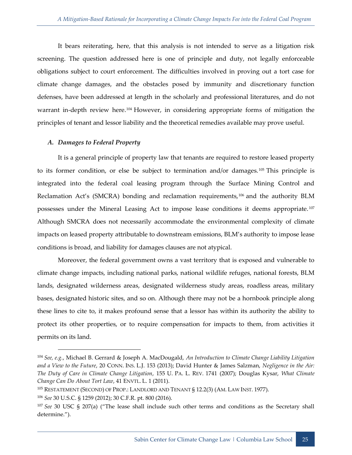It bears reiterating, here, that this analysis is not intended to serve as a litigation risk screening. The question addressed here is one of principle and duty, not legally enforceable obligations subject to court enforcement. The difficulties involved in proving out a tort case for climate change damages, and the obstacles posed by immunity and discretionary function defenses, have been addressed at length in the scholarly and professional literatures, and do not warrant in-depth review here.<sup>104</sup> However, in considering appropriate forms of mitigation the principles of tenant and lessor liability and the theoretical remedies available may prove useful.

#### <span id="page-33-0"></span>*A. Damages to Federal Property*

It is a general principle of property law that tenants are required to restore leased property to its former condition, or else be subject to termination and/or damages.<sup>105</sup> This principle is integrated into the federal coal leasing program through the Surface Mining Control and Reclamation Act's (SMCRA) bonding and reclamation requirements,<sup>106</sup> and the authority BLM possesses under the Mineral Leasing Act to impose lease conditions it deems appropriate. <sup>107</sup> Although SMCRA does not necessarily accommodate the environmental complexity of climate impacts on leased property attributable to downstream emissions, BLM's authority to impose lease conditions is broad, and liability for damages clauses are not atypical.

Moreover, the federal government owns a vast territory that is exposed and vulnerable to climate change impacts, including national parks, national wildlife refuges, national forests, BLM lands, designated wilderness areas, designated wilderness study areas, roadless areas, military bases, designated historic sites, and so on. Although there may not be a hornbook principle along these lines to cite to, it makes profound sense that a lessor has within its authority the ability to protect its other properties, or to require compensation for impacts to them, from activities it permits on its land.

<sup>104</sup> *See, e.g.*, Michael B. Gerrard & Joseph A. MacDougald, *An Introduction to Climate Change Liability Litigation and a View to the Future*, 20 CONN. INS. L.J. 153 (2013); David Hunter & James Salzman, *Negligence in the Air: The Duty of Care in Climate Change Litigation*, 155 U. PA. L. REV. 1741 (2007); Douglas Kysar, *What Climate Change Can Do About Tort Law*, 41 ENVTL. L. 1 (2011).

<sup>105</sup> RESTATEMENT (SECOND) OF PROP.: LANDLORD AND TENANT § 12.2(3) (AM. LAW INST. 1977).

<sup>106</sup> *See* 30 U.S.C. § 1259 (2012); 30 C.F.R. pt. 800 (2016).

<sup>107</sup> *See* 30 USC § 207(a) ("The lease shall include such other terms and conditions as the Secretary shall determine.").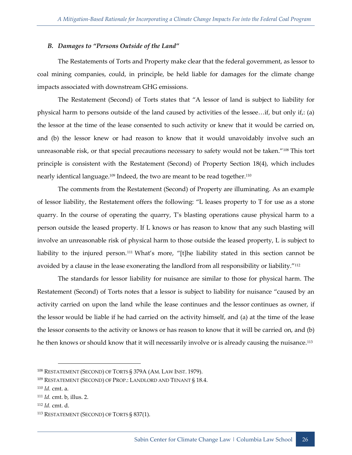#### <span id="page-34-0"></span>*B. Damages to "Persons Outside of the Land"*

The Restatements of Torts and Property make clear that the federal government, as lessor to coal mining companies, could, in principle, be held liable for damages for the climate change impacts associated with downstream GHG emissions.

The Restatement (Second) of Torts states that "A lessor of land is subject to liability for physical harm to persons outside of the land caused by activities of the lessee…if, but only if,: (a) the lessor at the time of the lease consented to such activity or knew that it would be carried on, and (b) the lessor knew or had reason to know that it would unavoidably involve such an unreasonable risk, or that special precautions necessary to safety would not be taken."<sup>108</sup> This tort principle is consistent with the Restatement (Second) of Property Section 18(4), which includes nearly identical language.<sup>109</sup> Indeed, the two are meant to be read together.<sup>110</sup>

The comments from the Restatement (Second) of Property are illuminating. As an example of lessor liability, the Restatement offers the following: "L leases property to T for use as a stone quarry. In the course of operating the quarry, T's blasting operations cause physical harm to a person outside the leased property. If L knows or has reason to know that any such blasting will involve an unreasonable risk of physical harm to those outside the leased property, L is subject to liability to the injured person.<sup>111</sup> What's more, "[t]he liability stated in this section cannot be avoided by a clause in the lease exonerating the landlord from all responsibility or liability."<sup>112</sup>

The standards for lessor liability for nuisance are similar to those for physical harm. The Restatement (Second) of Torts notes that a lessor is subject to liability for nuisance "caused by an activity carried on upon the land while the lease continues and the lessor continues as owner, if the lessor would be liable if he had carried on the activity himself, and (a) at the time of the lease the lessor consents to the activity or knows or has reason to know that it will be carried on, and (b) he then knows or should know that it will necessarily involve or is already causing the nuisance.<sup>113</sup>

<sup>&</sup>lt;sup>108</sup> RESTATEMENT (SECOND) OF TORTS § 379A (AM. LAW INST. 1979).

<sup>109</sup> RESTATEMENT (SECOND) OF PROP.: LANDLORD AND TENANT § 18.4.

<sup>110</sup> *Id.* cmt. a.

<sup>111</sup> *Id.* cmt. b, illus. 2.

<sup>112</sup> *Id.* cmt. d.

<sup>113</sup> RESTATEMENT (SECOND) OF TORTS § 837(1).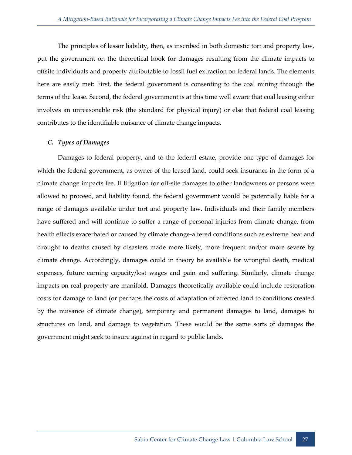The principles of lessor liability, then, as inscribed in both domestic tort and property law, put the government on the theoretical hook for damages resulting from the climate impacts to offsite individuals and property attributable to fossil fuel extraction on federal lands. The elements here are easily met: First, the federal government is consenting to the coal mining through the terms of the lease. Second, the federal government is at this time well aware that coal leasing either involves an unreasonable risk (the standard for physical injury) or else that federal coal leasing contributes to the identifiable nuisance of climate change impacts.

#### <span id="page-35-0"></span>*C. Types of Damages*

Damages to federal property, and to the federal estate, provide one type of damages for which the federal government, as owner of the leased land, could seek insurance in the form of a climate change impacts fee. If litigation for off-site damages to other landowners or persons were allowed to proceed, and liability found, the federal government would be potentially liable for a range of damages available under tort and property law. Individuals and their family members have suffered and will continue to suffer a range of personal injuries from climate change, from health effects exacerbated or caused by climate change-altered conditions such as extreme heat and drought to deaths caused by disasters made more likely, more frequent and/or more severe by climate change. Accordingly, damages could in theory be available for wrongful death, medical expenses, future earning capacity/lost wages and pain and suffering. Similarly, climate change impacts on real property are manifold. Damages theoretically available could include restoration costs for damage to land (or perhaps the costs of adaptation of affected land to conditions created by the nuisance of climate change), temporary and permanent damages to land, damages to structures on land, and damage to vegetation. These would be the same sorts of damages the government might seek to insure against in regard to public lands.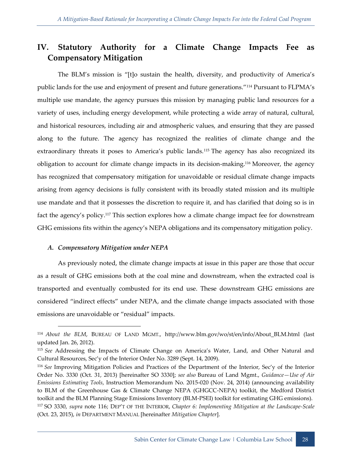# <span id="page-36-0"></span>**IV. Statutory Authority for a Climate Change Impacts Fee as Compensatory Mitigation**

The BLM's mission is "[t]o sustain the health, diversity, and productivity of America's public lands for the use and enjoyment of present and future generations."<sup>114</sup> Pursuant to FLPMA's multiple use mandate, the agency pursues this mission by managing public land resources for a variety of uses, including energy development, while protecting a wide array of natural, cultural, and historical resources, including air and atmospheric values, and ensuring that they are passed along to the future. The agency has recognized the realities of climate change and the extraordinary threats it poses to America's public lands.<sup>115</sup> The agency has also recognized its obligation to account for climate change impacts in its decision-making.<sup>116</sup> Moreover, the agency has recognized that compensatory mitigation for unavoidable or residual climate change impacts arising from agency decisions is fully consistent with its broadly stated mission and its multiple use mandate and that it possesses the discretion to require it, and has clarified that doing so is in fact the agency's policy.<sup>117</sup> This section explores how a climate change impact fee for downstream GHG emissions fits within the agency's NEPA obligations and its compensatory mitigation policy.

#### <span id="page-36-1"></span>*A. Compensatory Mitigation under NEPA*

-

As previously noted, the climate change impacts at issue in this paper are those that occur as a result of GHG emissions both at the coal mine and downstream, when the extracted coal is transported and eventually combusted for its end use. These downstream GHG emissions are considered "indirect effects" under NEPA, and the climate change impacts associated with those emissions are unavoidable or "residual" impacts.

<sup>114</sup> *About the BLM*, BUREAU OF LAND MGMT., http://www.blm.gov/wo/st/en/info/About\_BLM.html (last updated Jan. 26, 2012).

<sup>115</sup> *See* Addressing the Impacts of Climate Change on America's Water, Land, and Other Natural and Cultural Resources, Sec'y of the Interior Order No. 3289 (Sept. 14, 2009).

<sup>116</sup> *See* Improving Mitigation Policies and Practices of the Department of the Interior, Sec'y of the Interior Order No. 3330 (Oct. 31, 2013) [hereinafter SO 3330]; *see also* Bureau of Land Mgmt., *Guidance—Use of Air Emissions Estimating Tools*, Instruction Memorandum No. 2015-020 (Nov. 24, 2014) (announcing availability to BLM of the Greenhouse Gas & Climate Change NEPA (GHGCC-NEPA) toolkit, the Medford District toolkit and the BLM Planning Stage Emissions Inventory (BLM-PSEI) toolkit for estimating GHG emissions). <sup>117</sup> SO 3330, *supra* note 116; DEP'T OF THE INTERIOR, *Chapter 6: Implementing Mitigation at the Landscape-Scale*  (Oct. 23, 2015), *in* DEPARTMENT MANUAL [hereinafter *Mitigation Chapter*].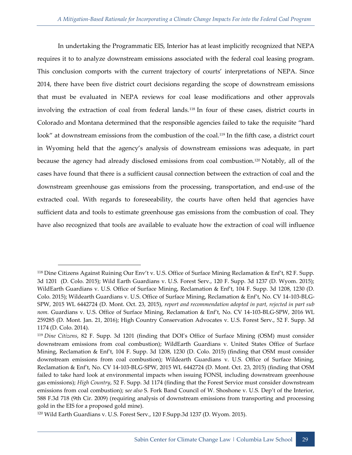In undertaking the Programmatic EIS, Interior has at least implicitly recognized that NEPA requires it to to analyze downstream emissions associated with the federal coal leasing program. This conclusion comports with the current trajectory of courts' interpretations of NEPA. Since 2014, there have been five district court decisions regarding the scope of downstream emissions that must be evaluated in NEPA reviews for coal lease modifications and other approvals involving the extraction of coal from federal lands.<sup>118</sup> In four of these cases, district courts in Colorado and Montana determined that the responsible agencies failed to take the requisite "hard look" at downstream emissions from the combustion of the coal.<sup>119</sup> In the fifth case, a district court in Wyoming held that the agency's analysis of downstream emissions was adequate, in part because the agency had already disclosed emissions from coal combustion.<sup>120</sup> Notably, all of the cases have found that there is a sufficient causal connection between the extraction of coal and the downstream greenhouse gas emissions from the processing, transportation, and end-use of the extracted coal. With regards to foreseeability, the courts have often held that agencies have sufficient data and tools to estimate greenhouse gas emissions from the combustion of coal. They have also recognized that tools are available to evaluate how the extraction of coal will influence

<sup>118</sup> Dine Citizens Against Ruining Our Env't v. U.S. Office of Surface Mining Reclamation & Enf't, 82 F. Supp. 3d 1201 (D. Colo. 2015); Wild Earth Guardians v. U.S. Forest Serv., 120 F. Supp. 3d 1237 (D. Wyom. 2015); WildEarth Guardians v. U.S. Office of Surface Mining, Reclamation & Enf't, 104 F. Supp. 3d 1208, 1230 (D. Colo. 2015); Wildearth Guardians v. U.S. Office of Surface Mining, Reclamation & Enf't, No. CV 14-103-BLG-SPW, 2015 WL 6442724 (D. Mont. Oct. 23, 2015), *report and recommendation adopted in part, rejected in part sub nom.* Guardians v. U.S. Office of Surface Mining, Reclamation & Enf't, No. CV 14-103-BLG-SPW, 2016 WL 259285 (D. Mont. Jan. 21, 2016); High Country Conservation Advocates v. U.S. Forest Serv., 52 F. Supp. 3d 1174 (D. Colo. 2014).

<sup>119</sup> *Dine Citizens*, 82 F. Supp. 3d 1201 (finding that DOI's Office of Surface Mining (OSM) must consider downstream emissions from coal combustion); WildEarth Guardians v. United States Office of Surface Mining, Reclamation & Enf't, 104 F. Supp. 3d 1208, 1230 (D. Colo. 2015) (finding that OSM must consider downstream emissions from coal combustion); Wildearth Guardians v. U.S. Office of Surface Mining, Reclamation & Enf't, No. CV 14-103-BLG-SPW, 2015 WL 6442724 (D. Mont. Oct. 23, 2015) (finding that OSM failed to take hard look at environmental impacts when issuing FONSI, including downstream greenhouse gas emissions); *High Country*, 52 F. Supp. 3d 1174 (finding that the Forest Service must consider downstream emissions from coal combustion); s*ee also* S. Fork Band Council of W. Shoshone v. U.S. Dep't of the Interior, 588 F.3d 718 (9th Cir. 2009) (requiring analysis of downstream emissions from transporting and processing gold in the EIS for a proposed gold mine).

<sup>120</sup> Wild Earth Guardians v. U.S. Forest Serv., 120 F.Supp.3d 1237 (D. Wyom. 2015).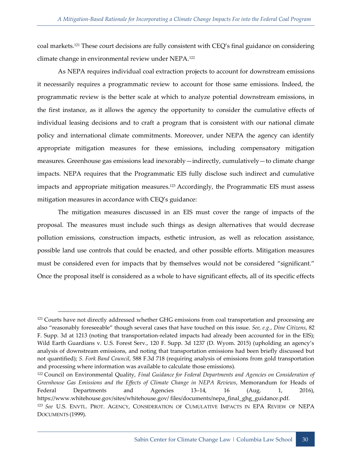coal markets.<sup>121</sup> These court decisions are fully consistent with CEQ's final guidance on considering climate change in environmental review under NEPA.<sup>122</sup>

As NEPA requires individual coal extraction projects to account for downstream emissions it necessarily requires a programmatic review to account for those same emissions. Indeed, the programmatic review is the better scale at which to analyze potential downstream emissions, in the first instance, as it allows the agency the opportunity to consider the cumulative effects of individual leasing decisions and to craft a program that is consistent with our national climate policy and international climate commitments. Moreover, under NEPA the agency can identify appropriate mitigation measures for these emissions, including compensatory mitigation measures. Greenhouse gas emissions lead inexorably—indirectly, cumulatively—to climate change impacts. NEPA requires that the Programmatic EIS fully disclose such indirect and cumulative impacts and appropriate mitigation measures.<sup>123</sup> Accordingly, the Programmatic EIS must assess mitigation measures in accordance with CEQ's guidance:

The mitigation measures discussed in an EIS must cover the range of impacts of the proposal. The measures must include such things as design alternatives that would decrease pollution emissions, construction impacts, esthetic intrusion, as well as relocation assistance, possible land use controls that could be enacted, and other possible efforts. Mitigation measures must be considered even for impacts that by themselves would not be considered "significant." Once the proposal itself is considered as a whole to have significant effects, all of its specific effects

<sup>&</sup>lt;sup>121</sup> Courts have not directly addressed whether GHG emissions from coal transportation and processing are also "reasonably foreseeable" though several cases that have touched on this issue. *See, e.g.*, *Dine Citizens*, 82 F. Supp. 3d at 1213 (noting that transportation-related impacts had already been accounted for in the EIS); Wild Earth Guardians v. U.S. Forest Serv., 120 F. Supp. 3d 1237 (D. Wyom. 2015) (upholding an agency's analysis of downstream emissions, and noting that transportation emissions had been briefly discussed but not quantified); *S. Fork Band Council*, 588 F.3d 718 (requiring analysis of emissions from gold transportation and processing where information was available to calculate those emissions).

<sup>122</sup> Council on Environmental Quality, *Final Guidance for Federal Departments and Agencies on Consideration of Greenhouse Gas Emissions and the Effects of Climate Change in NEPA Reviews*, Memorandum for Heads of Federal Departments and Agencies 13–14, 16 (Aug. 1, 2016), https://www.whitehouse.gov/sites/whitehouse.gov/ files/documents/nepa\_final\_ghg\_guidance.pdf.

<sup>123</sup> *See* U.S. ENVTL. PROT. AGENCY, CONSIDERATION OF CUMULATIVE IMPACTS IN EPA REVIEW OF NEPA DOCUMENTS (1999).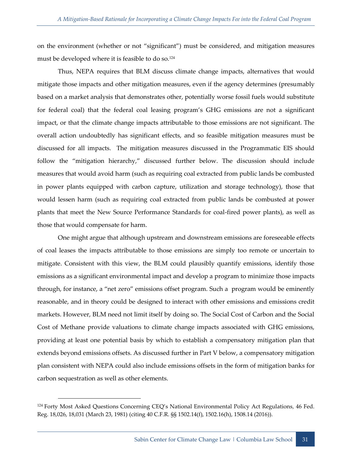on the environment (whether or not "significant") must be considered, and mitigation measures must be developed where it is feasible to do so.<sup>124</sup>

Thus, NEPA requires that BLM discuss climate change impacts, alternatives that would mitigate those impacts and other mitigation measures, even if the agency determines (presumably based on a market analysis that demonstrates other, potentially worse fossil fuels would substitute for federal coal) that the federal coal leasing program's GHG emissions are not a significant impact, or that the climate change impacts attributable to those emissions are not significant. The overall action undoubtedly has significant effects, and so feasible mitigation measures must be discussed for all impacts. The mitigation measures discussed in the Programmatic EIS should follow the "mitigation hierarchy," discussed further below. The discussion should include measures that would avoid harm (such as requiring coal extracted from public lands be combusted in power plants equipped with carbon capture, utilization and storage technology), those that would lessen harm (such as requiring coal extracted from public lands be combusted at power plants that meet the New Source Performance Standards for coal-fired power plants), as well as those that would compensate for harm.

One might argue that although upstream and downstream emissions are foreseeable effects of coal leases the impacts attributable to those emissions are simply too remote or uncertain to mitigate. Consistent with this view, the BLM could plausibly quantify emissions, identify those emissions as a significant environmental impact and develop a program to minimize those impacts through, for instance, a "net zero" emissions offset program. Such a program would be eminently reasonable, and in theory could be designed to interact with other emissions and emissions credit markets. However, BLM need not limit itself by doing so. The Social Cost of Carbon and the Social Cost of Methane provide valuations to climate change impacts associated with GHG emissions, providing at least one potential basis by which to establish a compensatory mitigation plan that extends beyond emissions offsets. As discussed further in Part V below, a compensatory mitigation plan consistent with NEPA could also include emissions offsets in the form of mitigation banks for carbon sequestration as well as other elements.

<sup>124</sup> Forty Most Asked Questions Concerning CEQ's National Environmental Policy Act Regulations*,* 46 Fed. Reg. 18,026, 18,031 (March 23, 1981) (citing 40 C.F.R. §§ 1502.14(f), 1502.16(h), 1508.14 (2016)).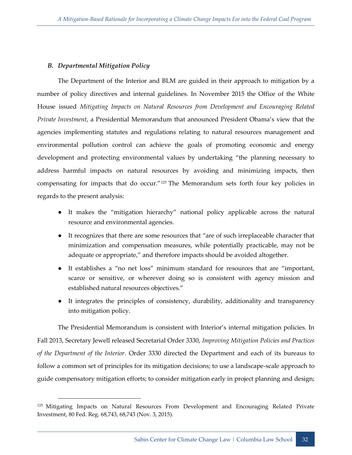#### <span id="page-40-0"></span>*B. Departmental Mitigation Policy*

-

The Department of the Interior and BLM are guided in their approach to mitigation by a number of policy directives and internal guidelines. In November 2015 the Office of the White House issued *Mitigating Impacts on Natural Resources from Development and Encouraging Related Private Investment*, a Presidential Memorandum that announced President Obama's view that the agencies implementing statutes and regulations relating to natural resources management and environmental pollution control can achieve the goals of promoting economic and energy development and protecting environmental values by undertaking "the planning necessary to address harmful impacts on natural resources by avoiding and minimizing impacts, then compensating for impacts that do occur."<sup>125</sup> The Memorandum sets forth four key policies in regards to the present analysis:

- It makes the "mitigation hierarchy" national policy applicable across the natural resource and environmental agencies.
- It recognizes that there are some resources that "are of such irreplaceable character that minimization and compensation measures, while potentially practicable, may not be adequate or appropriate," and therefore impacts should be avoided altogether.
- It establishes a "no net loss" minimum standard for resources that are "important, scarce or sensitive, or wherever doing so is consistent with agency mission and established natural resources objectives."
- It integrates the principles of consistency, durability, additionality and transparency into mitigation policy.

The Presidential Memorandum is consistent with Interior's internal mitigation policies. In Fall 2013, Secretary Jewell released Secretarial Order 3330, *Improving Mitigation Policies and Practices of the Department of the Interior*. Order 3330 directed the Department and each of its bureaus to follow a common set of principles for its mitigation decisions; to use a landscape-scale approach to guide compensatory mitigation efforts; to consider mitigation early in project planning and design;

<sup>&</sup>lt;sup>125</sup> Mitigating Impacts on Natural Resources From Development and Encouraging Related Private Investment, 80 Fed. Reg. 68,743, 68,743 (Nov. 3, 2015).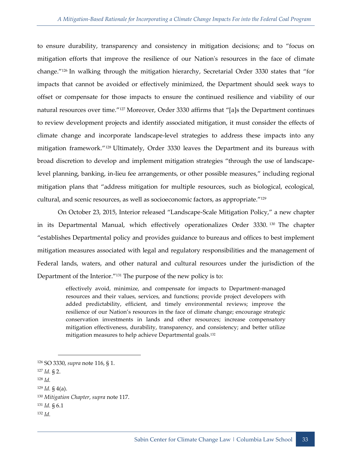to ensure durability, transparency and consistency in mitigation decisions; and to "focus on mitigation efforts that improve the resilience of our Nation's resources in the face of climate change."<sup>126</sup> In walking through the mitigation hierarchy, Secretarial Order 3330 states that "for impacts that cannot be avoided or effectively minimized, the Department should seek ways to offset or compensate for those impacts to ensure the continued resilience and viability of our natural resources over time."<sup>127</sup> Moreover, Order 3330 affirms that "[a]s the Department continues to review development projects and identify associated mitigation, it must consider the effects of climate change and incorporate landscape-level strategies to address these impacts into any mitigation framework."<sup>128</sup> Ultimately, Order 3330 leaves the Department and its bureaus with broad discretion to develop and implement mitigation strategies "through the use of landscapelevel planning, banking, in-lieu fee arrangements, or other possible measures," including regional mitigation plans that "address mitigation for multiple resources, such as biological, ecological, cultural, and scenic resources, as well as socioeconomic factors, as appropriate."<sup>129</sup>

On October 23, 2015, Interior released "Landscape-Scale Mitigation Policy," a new chapter in its Departmental Manual, which effectively operationalizes Order 3330.<sup>130</sup> The chapter "establishes Departmental policy and provides guidance to bureaus and offices to best implement mitigation measures associated with legal and regulatory responsibilities and the management of Federal lands, waters, and other natural and cultural resources under the jurisdiction of the Department of the Interior."<sup>131</sup> The purpose of the new policy is to:

> effectively avoid, minimize, and compensate for impacts to Department-managed resources and their values, services, and functions; provide project developers with added predictability, efficient, and timely environmental reviews; improve the resilience of our Nation's resources in the face of climate change; encourage strategic conservation investments in lands and other resources; increase compensatory mitigation effectiveness, durability, transparency, and consistency; and better utilize mitigation measures to help achieve Departmental goals.<sup>132</sup>

-

<sup>132</sup> *Id.*

<sup>126</sup> SO 3330, *supra* note 116, § 1.

<sup>127</sup> *Id.* § 2.

<sup>128</sup> *Id.*

<sup>129</sup> *Id.* § 4(a).

<sup>130</sup> *Mitigation Chapter*, *supra* note 117.

<sup>131</sup> *Id.* § 6.1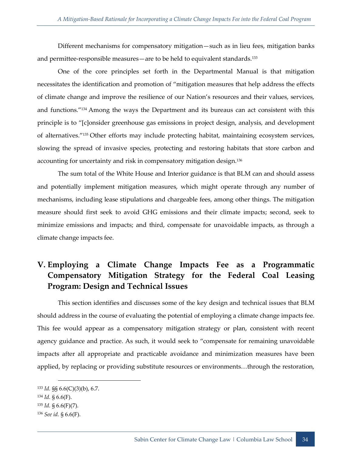Different mechanisms for compensatory mitigation—such as in lieu fees, mitigation banks and permittee-responsible measures—are to be held to equivalent standards.<sup>133</sup>

One of the core principles set forth in the Departmental Manual is that mitigation necessitates the identification and promotion of "mitigation measures that help address the effects of climate change and improve the resilience of our Nation's resources and their values, services, and functions."<sup>134</sup> Among the ways the Department and its bureaus can act consistent with this principle is to "[c]onsider greenhouse gas emissions in project design, analysis, and development of alternatives."<sup>135</sup> Other efforts may include protecting habitat, maintaining ecosystem services, slowing the spread of invasive species, protecting and restoring habitats that store carbon and accounting for uncertainty and risk in compensatory mitigation design.<sup>136</sup>

The sum total of the White House and Interior guidance is that BLM can and should assess and potentially implement mitigation measures, which might operate through any number of mechanisms, including lease stipulations and chargeable fees, among other things. The mitigation measure should first seek to avoid GHG emissions and their climate impacts; second, seek to minimize emissions and impacts; and third, compensate for unavoidable impacts, as through a climate change impacts fee.

# <span id="page-42-0"></span>**V. Employing a Climate Change Impacts Fee as a Programmatic Compensatory Mitigation Strategy for the Federal Coal Leasing Program: Design and Technical Issues**

This section identifies and discusses some of the key design and technical issues that BLM should address in the course of evaluating the potential of employing a climate change impacts fee. This fee would appear as a compensatory mitigation strategy or plan, consistent with recent agency guidance and practice. As such, it would seek to "compensate for remaining unavoidable impacts after all appropriate and practicable avoidance and minimization measures have been applied, by replacing or providing substitute resources or environments…through the restoration,

<sup>133</sup> *Id.* §§ 6.6(C)(3)(b), 6.7.

<sup>134</sup> *Id.* § 6.6(F).

<sup>135</sup> *Id.* § 6.6(F)(7).

<sup>136</sup> *See id.* § 6.6(F).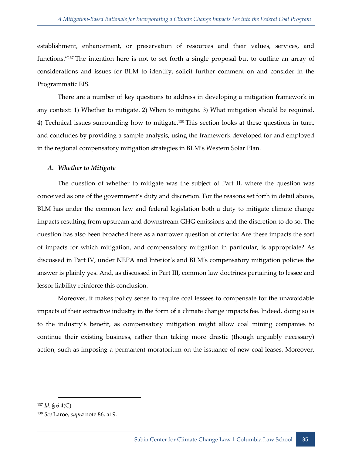establishment, enhancement, or preservation of resources and their values, services, and functions."<sup>137</sup> The intention here is not to set forth a single proposal but to outline an array of considerations and issues for BLM to identify, solicit further comment on and consider in the Programmatic EIS.

There are a number of key questions to address in developing a mitigation framework in any context: 1) Whether to mitigate. 2) When to mitigate. 3) What mitigation should be required. 4) Technical issues surrounding how to mitigate.<sup>138</sup> This section looks at these questions in turn, and concludes by providing a sample analysis, using the framework developed for and employed in the regional compensatory mitigation strategies in BLM's Western Solar Plan.

#### <span id="page-43-0"></span>*A. Whether to Mitigate*

The question of whether to mitigate was the subject of Part II, where the question was conceived as one of the government's duty and discretion. For the reasons set forth in detail above, BLM has under the common law and federal legislation both a duty to mitigate climate change impacts resulting from upstream and downstream GHG emissions and the discretion to do so. The question has also been broached here as a narrower question of criteria: Are these impacts the sort of impacts for which mitigation, and compensatory mitigation in particular, is appropriate? As discussed in Part IV, under NEPA and Interior's and BLM's compensatory mitigation policies the answer is plainly yes. And, as discussed in Part III, common law doctrines pertaining to lessee and lessor liability reinforce this conclusion.

Moreover, it makes policy sense to require coal lessees to compensate for the unavoidable impacts of their extractive industry in the form of a climate change impacts fee. Indeed, doing so is to the industry's benefit, as compensatory mitigation might allow coal mining companies to continue their existing business, rather than taking more drastic (though arguably necessary) action, such as imposing a permanent moratorium on the issuance of new coal leases. Moreover,

<sup>137</sup> *Id.* § 6.4(C).

<sup>138</sup> *See* Laroe, *supra* note 86, at 9.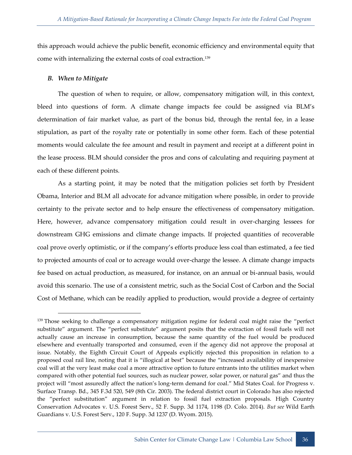this approach would achieve the public benefit, economic efficiency and environmental equity that come with internalizing the external costs of coal extraction.<sup>139</sup>

#### <span id="page-44-0"></span>*B. When to Mitigate*

-

The question of when to require, or allow, compensatory mitigation will, in this context, bleed into questions of form. A climate change impacts fee could be assigned via BLM's determination of fair market value, as part of the bonus bid, through the rental fee, in a lease stipulation, as part of the royalty rate or potentially in some other form. Each of these potential moments would calculate the fee amount and result in payment and receipt at a different point in the lease process. BLM should consider the pros and cons of calculating and requiring payment at each of these different points.

As a starting point, it may be noted that the mitigation policies set forth by President Obama, Interior and BLM all advocate for advance mitigation where possible, in order to provide certainty to the private sector and to help ensure the effectiveness of compensatory mitigation. Here, however, advance compensatory mitigation could result in over-charging lessees for downstream GHG emissions and climate change impacts. If projected quantities of recoverable coal prove overly optimistic, or if the company's efforts produce less coal than estimated, a fee tied to projected amounts of coal or to acreage would over-charge the lessee. A climate change impacts fee based on actual production, as measured, for instance, on an annual or bi-annual basis, would avoid this scenario. The use of a consistent metric, such as the Social Cost of Carbon and the Social Cost of Methane, which can be readily applied to production, would provide a degree of certainty

<sup>&</sup>lt;sup>139</sup> Those seeking to challenge a compensatory mitigation regime for federal coal might raise the "perfect substitute" argument. The "perfect substitute" argument posits that the extraction of fossil fuels will not actually cause an increase in consumption, because the same quantity of the fuel would be produced elsewhere and eventually transported and consumed, even if the agency did not approve the proposal at issue. Notably, the Eighth Circuit Court of Appeals explicitly rejected this proposition in relation to a proposed coal rail line, noting that it is "illogical at best" because the "increased availability of inexpensive coal will at the very least make coal a more attractive option to future entrants into the utilities market when compared with other potential fuel sources, such as nuclear power, solar power, or natural gas" and thus the project will "most assuredly affect the nation's long-term demand for coal." Mid States Coal. for Progress v. Surface Transp. Bd., 345 F.3d 520, 549 (8th Cir. 2003). The federal district court in Colorado has also rejected the "perfect substitution" argument in relation to fossil fuel extraction proposals. High Country Conservation Advocates v. U.S. Forest Serv., 52 F. Supp. 3d 1174, 1198 (D. Colo. 2014). *But see* Wild Earth Guardians v. U.S. Forest Serv., 120 F. Supp. 3d 1237 (D. Wyom. 2015).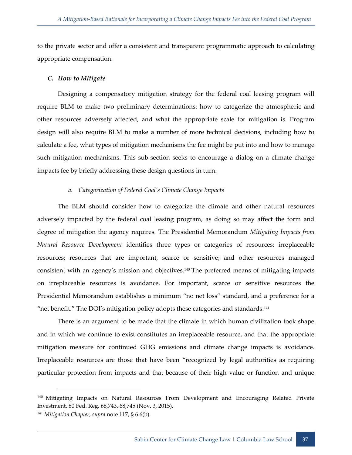to the private sector and offer a consistent and transparent programmatic approach to calculating appropriate compensation.

#### <span id="page-45-0"></span>*C. How to Mitigate*

-

Designing a compensatory mitigation strategy for the federal coal leasing program will require BLM to make two preliminary determinations: how to categorize the atmospheric and other resources adversely affected, and what the appropriate scale for mitigation is. Program design will also require BLM to make a number of more technical decisions, including how to calculate a fee, what types of mitigation mechanisms the fee might be put into and how to manage such mitigation mechanisms. This sub-section seeks to encourage a dialog on a climate change impacts fee by briefly addressing these design questions in turn.

#### *a. Categorization of Federal Coal's Climate Change Impacts*

<span id="page-45-1"></span>The BLM should consider how to categorize the climate and other natural resources adversely impacted by the federal coal leasing program, as doing so may affect the form and degree of mitigation the agency requires. The Presidential Memorandum *Mitigating Impacts from Natural Resource Development* identifies three types or categories of resources: irreplaceable resources; resources that are important, scarce or sensitive; and other resources managed consistent with an agency's mission and objectives.<sup>140</sup> The preferred means of mitigating impacts on irreplaceable resources is avoidance. For important, scarce or sensitive resources the Presidential Memorandum establishes a minimum "no net loss" standard, and a preference for a "net benefit." The DOI's mitigation policy adopts these categories and standards. $141$ 

There is an argument to be made that the climate in which human civilization took shape and in which we continue to exist constitutes an irreplaceable resource, and that the appropriate mitigation measure for continued GHG emissions and climate change impacts is avoidance. Irreplaceable resources are those that have been "recognized by legal authorities as requiring particular protection from impacts and that because of their high value or function and unique

<sup>&</sup>lt;sup>140</sup> Mitigating Impacts on Natural Resources From Development and Encouraging Related Private Investment, 80 Fed. Reg. 68,743, 68,745 (Nov. 3, 2015). <sup>141</sup> *Mitigation Chapter*, *supra* note 117, § 6.6(b).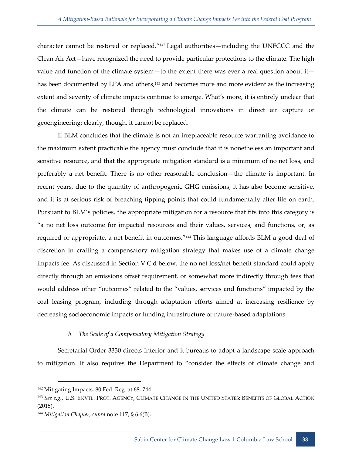character cannot be restored or replaced."<sup>142</sup> Legal authorities—including the UNFCCC and the Clean Air Act—have recognized the need to provide particular protections to the climate. The high value and function of the climate system—to the extent there was ever a real question about it has been documented by EPA and others,<sup>143</sup> and becomes more and more evident as the increasing extent and severity of climate impacts continue to emerge. What's more, it is entirely unclear that the climate can be restored through technological innovations in direct air capture or geoengineering; clearly, though, it cannot be replaced.

If BLM concludes that the climate is not an irreplaceable resource warranting avoidance to the maximum extent practicable the agency must conclude that it is nonetheless an important and sensitive resource, and that the appropriate mitigation standard is a minimum of no net loss, and preferably a net benefit. There is no other reasonable conclusion—the climate is important. In recent years, due to the quantity of anthropogenic GHG emissions, it has also become sensitive, and it is at serious risk of breaching tipping points that could fundamentally alter life on earth. Pursuant to BLM's policies, the appropriate mitigation for a resource that fits into this category is "a no net loss outcome for impacted resources and their values, services, and functions, or, as required or appropriate, a net benefit in outcomes."<sup>144</sup> This language affords BLM a good deal of discretion in crafting a compensatory mitigation strategy that makes use of a climate change impacts fee. As discussed in Section V.C.d below, the no net loss/net benefit standard could apply directly through an emissions offset requirement, or somewhat more indirectly through fees that would address other "outcomes" related to the "values, services and functions" impacted by the coal leasing program, including through adaptation efforts aimed at increasing resilience by decreasing socioeconomic impacts or funding infrastructure or nature-based adaptations.

#### *b. The Scale of a Compensatory Mitigation Strategy*

<span id="page-46-0"></span>Secretarial Order 3330 directs Interior and it bureaus to adopt a landscape-scale approach to mitigation. It also requires the Department to "consider the effects of climate change and

<sup>&</sup>lt;sup>142</sup> Mitigating Impacts, 80 Fed. Reg. at 68, 744.

<sup>143</sup> *See e.g.*, U.S. ENVTL. PROT. AGENCY, CLIMATE CHANGE IN THE UNITED STATES: BENEFITS OF GLOBAL ACTION (2015).

<sup>144</sup> *Mitigation Chapter*, *supra* note 117, § 6.6(B).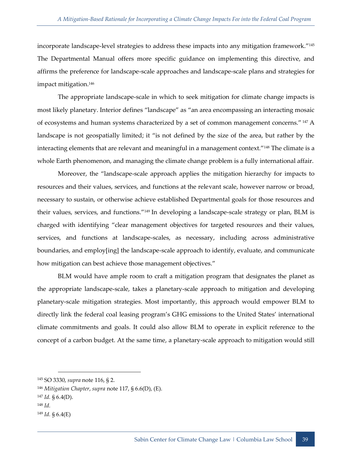incorporate landscape-level strategies to address these impacts into any mitigation framework."<sup>145</sup> The Departmental Manual offers more specific guidance on implementing this directive, and affirms the preference for landscape-scale approaches and landscape-scale plans and strategies for impact mitigation.<sup>146</sup>

The appropriate landscape-scale in which to seek mitigation for climate change impacts is most likely planetary. Interior defines "landscape" as "an area encompassing an interacting mosaic of ecosystems and human systems characterized by a set of common management concerns." 147 A landscape is not geospatially limited; it "is not defined by the size of the area, but rather by the interacting elements that are relevant and meaningful in a management context."<sup>148</sup> The climate is a whole Earth phenomenon, and managing the climate change problem is a fully international affair.

Moreover, the "landscape-scale approach applies the mitigation hierarchy for impacts to resources and their values, services, and functions at the relevant scale, however narrow or broad, necessary to sustain, or otherwise achieve established Departmental goals for those resources and their values, services, and functions."<sup>149</sup> In developing a landscape-scale strategy or plan, BLM is charged with identifying "clear management objectives for targeted resources and their values, services, and functions at landscape-scales, as necessary, including across administrative boundaries, and employ[ing] the landscape-scale approach to identify, evaluate, and communicate how mitigation can best achieve those management objectives."

BLM would have ample room to craft a mitigation program that designates the planet as the appropriate landscape-scale, takes a planetary-scale approach to mitigation and developing planetary-scale mitigation strategies. Most importantly, this approach would empower BLM to directly link the federal coal leasing program's GHG emissions to the United States' international climate commitments and goals. It could also allow BLM to operate in explicit reference to the concept of a carbon budget. At the same time, a planetary-scale approach to mitigation would still

<sup>147</sup> *Id.* § 6.4(D).

<sup>148</sup> *Id.* 

<sup>145</sup> SO 3330, *supra* note 116, § 2.

<sup>146</sup> *Mitigation Chapter*, *supra* note 117, § 6.6(D), (E).

<sup>149</sup> *Id.* § 6.4(E)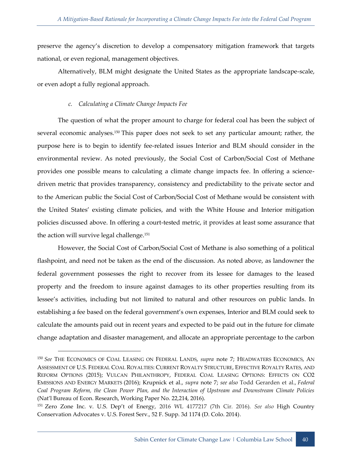preserve the agency's discretion to develop a compensatory mitigation framework that targets national, or even regional, management objectives.

Alternatively, BLM might designate the United States as the appropriate landscape-scale, or even adopt a fully regional approach.

## *c. Calculating a Climate Change Impacts Fee*

-

<span id="page-48-0"></span>The question of what the proper amount to charge for federal coal has been the subject of several economic analyses.<sup>150</sup> This paper does not seek to set any particular amount; rather, the purpose here is to begin to identify fee-related issues Interior and BLM should consider in the environmental review. As noted previously, the Social Cost of Carbon/Social Cost of Methane provides one possible means to calculating a climate change impacts fee. In offering a sciencedriven metric that provides transparency, consistency and predictability to the private sector and to the American public the Social Cost of Carbon/Social Cost of Methane would be consistent with the United States' existing climate policies, and with the White House and Interior mitigation policies discussed above. In offering a court-tested metric, it provides at least some assurance that the action will survive legal challenge.<sup>151</sup>

However, the Social Cost of Carbon/Social Cost of Methane is also something of a political flashpoint, and need not be taken as the end of the discussion. As noted above, as landowner the federal government possesses the right to recover from its lessee for damages to the leased property and the freedom to insure against damages to its other properties resulting from its lessee's activities, including but not limited to natural and other resources on public lands. In establishing a fee based on the federal government's own expenses, Interior and BLM could seek to calculate the amounts paid out in recent years and expected to be paid out in the future for climate change adaptation and disaster management, and allocate an appropriate percentage to the carbon

<sup>150</sup> *See* THE ECONOMICS OF COAL LEASING ON FEDERAL LANDS, *supra* note 7; HEADWATERS ECONOMICS, AN ASSESSMENT OF U.S. FEDERAL COAL ROYALTIES: CURRENT ROYALTY STRUCTURE, EFFECTIVE ROYALTY RATES, AND REFORM OPTIONS (2015); VULCAN PHILANTHROPY, FEDERAL COAL LEASING OPTIONS: EFFECTS ON CO2 EMISSIONS AND ENERGY MARKETS (2016); Krupnick et al., *supra* note 7; *see also* Todd Gerarden et al., *Federal Coal Program Reform, the Clean Power Plan, and the Interaction of Upstream and Downstream Climate Policies* (Nat'l Bureau of Econ. Research, Working Paper No. 22,214, 2016).

<sup>151</sup> Zero Zone Inc. v. U.S. Dep't of Energy, 2016 WL 4177217 (7th Cir. 2016). *See also* High Country Conservation Advocates v. U.S. Forest Serv., 52 F. Supp. 3d 1174 (D. Colo. 2014).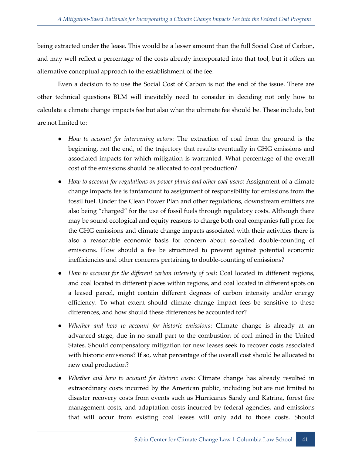being extracted under the lease. This would be a lesser amount than the full Social Cost of Carbon, and may well reflect a percentage of the costs already incorporated into that tool, but it offers an alternative conceptual approach to the establishment of the fee.

Even a decision to to use the Social Cost of Carbon is not the end of the issue. There are other technical questions BLM will inevitably need to consider in deciding not only how to calculate a climate change impacts fee but also what the ultimate fee should be. These include, but are not limited to:

- How to account for intervening actors: The extraction of coal from the ground is the beginning, not the end, of the trajectory that results eventually in GHG emissions and associated impacts for which mitigation is warranted. What percentage of the overall cost of the emissions should be allocated to coal production?
- *How to account for regulations on power plants and other coal users:* Assignment of a climate change impacts fee is tantamount to assignment of responsibility for emissions from the fossil fuel. Under the Clean Power Plan and other regulations, downstream emitters are also being "charged" for the use of fossil fuels through regulatory costs. Although there may be sound ecological and equity reasons to charge both coal companies full price for the GHG emissions and climate change impacts associated with their activities there is also a reasonable economic basis for concern about so-called double-counting of emissions. How should a fee be structured to prevent against potential economic inefficiencies and other concerns pertaining to double-counting of emissions?
- How to account for the different carbon intensity of coal: Coal located in different regions, and coal located in different places within regions, and coal located in different spots on a leased parcel, might contain different degrees of carbon intensity and/or energy efficiency. To what extent should climate change impact fees be sensitive to these differences, and how should these differences be accounted for?
- *Whether and how to account for historic emissions*: Climate change is already at an advanced stage, due in no small part to the combustion of coal mined in the United States. Should compensatory mitigation for new leases seek to recover costs associated with historic emissions? If so, what percentage of the overall cost should be allocated to new coal production?
- *Whether and how to account for historic costs: Climate change has already resulted in* extraordinary costs incurred by the American public, including but are not limited to disaster recovery costs from events such as Hurricanes Sandy and Katrina, forest fire management costs, and adaptation costs incurred by federal agencies, and emissions that will occur from existing coal leases will only add to those costs. Should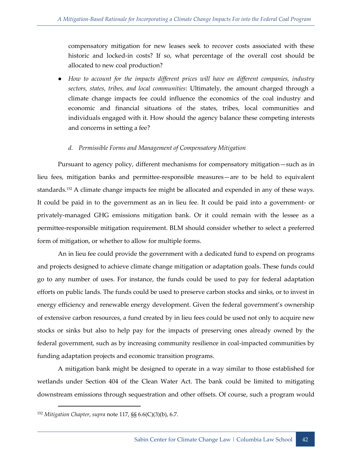compensatory mitigation for new leases seek to recover costs associated with these historic and locked-in costs? If so, what percentage of the overall cost should be allocated to new coal production?

● *How to account for the impacts different prices will have on different companies, industry sectors, states, tribes, and local communities*: Ultimately, the amount charged through a climate change impacts fee could influence the economics of the coal industry and economic and financial situations of the states, tribes, local communities and individuals engaged with it. How should the agency balance these competing interests and concerns in setting a fee?

#### *d. Permissible Forms and Management of Compensatory Mitigation*

<span id="page-50-0"></span>Pursuant to agency policy, different mechanisms for compensatory mitigation—such as in lieu fees, mitigation banks and permittee-responsible measures—are to be held to equivalent standards.<sup>152</sup> A climate change impacts fee might be allocated and expended in any of these ways. It could be paid in to the government as an in lieu fee. It could be paid into a government- or privately-managed GHG emissions mitigation bank. Or it could remain with the lessee as a permittee-responsible mitigation requirement. BLM should consider whether to select a preferred form of mitigation, or whether to allow for multiple forms.

An in lieu fee could provide the government with a dedicated fund to expend on programs and projects designed to achieve climate change mitigation or adaptation goals. These funds could go to any number of uses. For instance, the funds could be used to pay for federal adaptation efforts on public lands. The funds could be used to preserve carbon stocks and sinks, or to invest in energy efficiency and renewable energy development. Given the federal government's ownership of extensive carbon resources, a fund created by in lieu fees could be used not only to acquire new stocks or sinks but also to help pay for the impacts of preserving ones already owned by the federal government, such as by increasing community resilience in coal-impacted communities by funding adaptation projects and economic transition programs.

A mitigation bank might be designed to operate in a way similar to those established for wetlands under Section 404 of the Clean Water Act. The bank could be limited to mitigating downstream emissions through sequestration and other offsets. Of course, such a program would

<sup>152</sup> *Mitigation Chapter*, *supra* note 117, §§ 6.6(C)(3)(b), 6.7.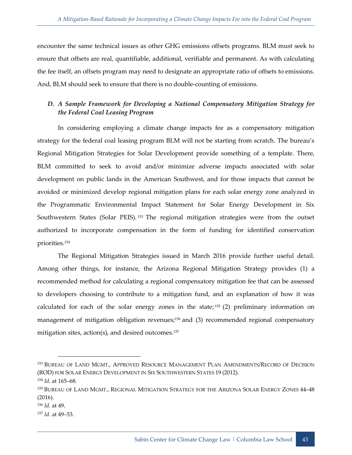encounter the same technical issues as other GHG emissions offsets programs. BLM must seek to ensure that offsets are real, quantifiable, additional, verifiable and permanent. As with calculating the fee itself, an offsets program may need to designate an appropriate ratio of offsets to emissions. And, BLM should seek to ensure that there is no double-counting of emissions.

## <span id="page-51-0"></span>*D. A Sample Framework for Developing a National Compensatory Mitigation Strategy for the Federal Coal Leasing Program*

In considering employing a climate change impacts fee as a compensatory mitigation strategy for the federal coal leasing program BLM will not be starting from scratch. The bureau's Regional Mitigation Strategies for Solar Development provide something of a template. There, BLM committed to seek to avoid and/or minimize adverse impacts associated with solar development on public lands in the American Southwest, and for those impacts that cannot be avoided or minimized develop regional mitigation plans for each solar energy zone analyzed in the Programmatic Environmental Impact Statement for Solar Energy Development in Six Southwestern States (Solar PEIS).<sup>153</sup> The regional mitigation strategies were from the outset authorized to incorporate compensation in the form of funding for identified conservation priorities.<sup>154</sup>

The Regional Mitigation Strategies issued in March 2016 provide further useful detail. Among other things, for instance, the Arizona Regional Mitigation Strategy provides (1) a recommended method for calculating a regional compensatory mitigation fee that can be assessed to developers choosing to contribute to a mitigation fund, and an explanation of how it was calculated for each of the solar energy zones in the state;  $155$  (2) preliminary information on management of mitigation obligation revenues;<sup>156</sup> and (3) recommended regional compensatory mitigation sites,  $action(s)$ , and desired outcomes.<sup>157</sup>

<sup>153</sup> BUREAU OF LAND MGMT., APPROVED RESOURCE MANAGEMENT PLAN AMENDMENTS/RECORD OF DECISION (ROD) FOR SOLAR ENERGY DEVELOPMENT IN SIX SOUTHWESTERN STATES 19 (2012).

<sup>154</sup> *Id.* at 165–68.

<sup>&</sup>lt;sup>155</sup> BUREAU OF LAND MGMT., REGIONAL MITIGATION STRATEGY FOR THE ARIZONA SOLAR ENERGY ZONES 44–48 (2016).

<sup>156</sup> *Id.* at 49.

<sup>157</sup> *Id.* at 49–53.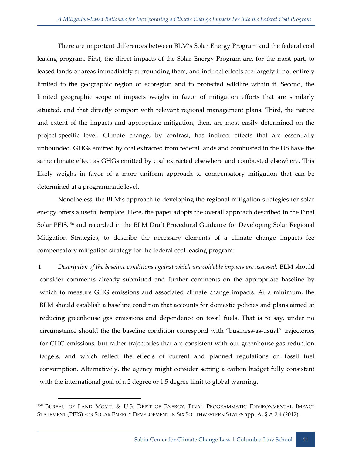There are important differences between BLM's Solar Energy Program and the federal coal leasing program. First, the direct impacts of the Solar Energy Program are, for the most part, to leased lands or areas immediately surrounding them, and indirect effects are largely if not entirely limited to the geographic region or ecoregion and to protected wildlife within it. Second, the limited geographic scope of impacts weighs in favor of mitigation efforts that are similarly situated, and that directly comport with relevant regional management plans. Third, the nature and extent of the impacts and appropriate mitigation, then, are most easily determined on the project-specific level. Climate change, by contrast, has indirect effects that are essentially unbounded. GHGs emitted by coal extracted from federal lands and combusted in the US have the same climate effect as GHGs emitted by coal extracted elsewhere and combusted elsewhere. This likely weighs in favor of a more uniform approach to compensatory mitigation that can be determined at a programmatic level.

Nonetheless, the BLM's approach to developing the regional mitigation strategies for solar energy offers a useful template. Here, the paper adopts the overall approach described in the Final Solar PEIS,<sup>158</sup> and recorded in the BLM Draft Procedural Guidance for Developing Solar Regional Mitigation Strategies, to describe the necessary elements of a climate change impacts fee compensatory mitigation strategy for the federal coal leasing program:

1. *Description of the baseline conditions against which unavoidable impacts are assessed:* BLM should consider comments already submitted and further comments on the appropriate baseline by which to measure GHG emissions and associated climate change impacts. At a minimum, the BLM should establish a baseline condition that accounts for domestic policies and plans aimed at reducing greenhouse gas emissions and dependence on fossil fuels. That is to say, under no circumstance should the the baseline condition correspond with "business-as-usual" trajectories for GHG emissions, but rather trajectories that are consistent with our greenhouse gas reduction targets, and which reflect the effects of current and planned regulations on fossil fuel consumption. Alternatively, the agency might consider setting a carbon budget fully consistent with the international goal of a 2 degree or 1.5 degree limit to global warming.

<sup>158</sup> BUREAU OF LAND MGMT. & U.S. DEP'T OF ENERGY, FINAL PROGRAMMATIC ENVIRONMENTAL IMPACT STATEMENT (PEIS) FOR SOLAR ENERGY DEVELOPMENT IN SIX SOUTHWESTERN STATES app. A, § A.2.4 (2012).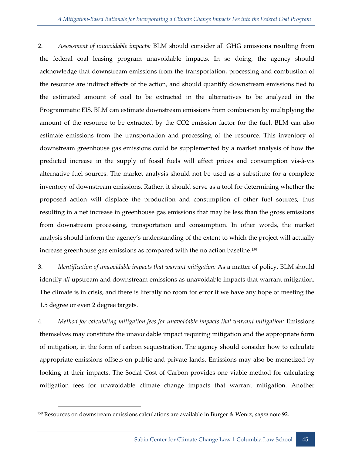2. *Assessment of unavoidable impacts:* BLM should consider all GHG emissions resulting from the federal coal leasing program unavoidable impacts. In so doing, the agency should acknowledge that downstream emissions from the transportation, processing and combustion of the resource are indirect effects of the action, and should quantify downstream emissions tied to the estimated amount of coal to be extracted in the alternatives to be analyzed in the Programmatic EIS. BLM can estimate downstream emissions from combustion by multiplying the amount of the resource to be extracted by the CO2 emission factor for the fuel. BLM can also estimate emissions from the transportation and processing of the resource. This inventory of downstream greenhouse gas emissions could be supplemented by a market analysis of how the predicted increase in the supply of fossil fuels will affect prices and consumption vis-à-vis alternative fuel sources. The market analysis should not be used as a substitute for a complete inventory of downstream emissions. Rather, it should serve as a tool for determining whether the proposed action will displace the production and consumption of other fuel sources, thus resulting in a net increase in greenhouse gas emissions that may be less than the gross emissions from downstream processing, transportation and consumption. In other words, the market analysis should inform the agency's understanding of the extent to which the project will actually increase greenhouse gas emissions as compared with the no action baseline.<sup>159</sup>

3. *Identification of unavoidable impacts that warrant mitigation:* As a matter of policy, BLM should identify *all* upstream and downstream emissions as unavoidable impacts that warrant mitigation. The climate is in crisis, and there is literally no room for error if we have any hope of meeting the 1.5 degree or even 2 degree targets.

4. *Method for calculating mitigation fees for unavoidable impacts that warrant mitigation:* Emissions themselves may constitute the unavoidable impact requiring mitigation and the appropriate form of mitigation, in the form of carbon sequestration. The agency should consider how to calculate appropriate emissions offsets on public and private lands. Emissions may also be monetized by looking at their impacts. The Social Cost of Carbon provides one viable method for calculating mitigation fees for unavoidable climate change impacts that warrant mitigation. Another

<sup>159</sup> Resources on downstream emissions calculations are available in Burger & Wentz, *supra* note 92.